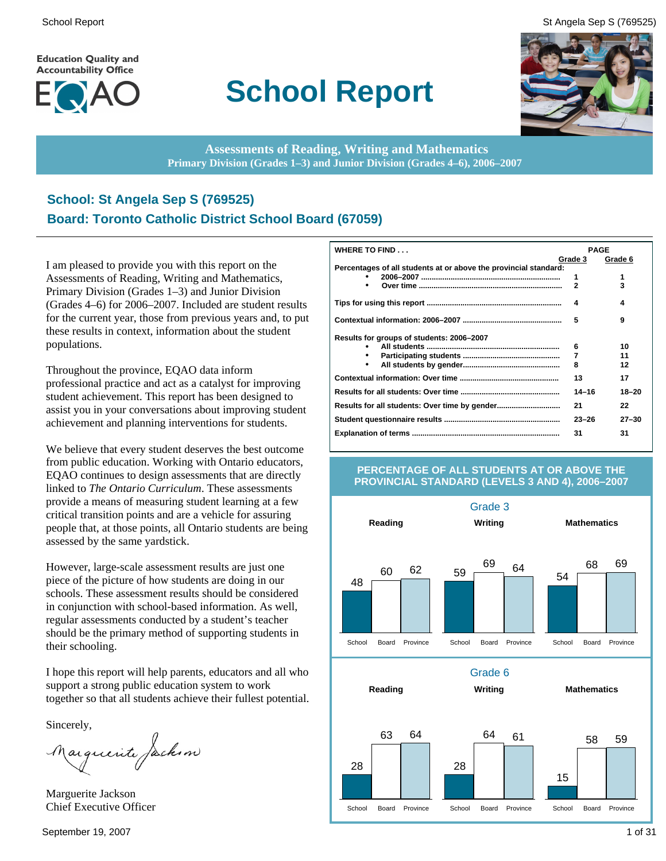**Education Quality and Accountability Office** 



# **School Report**

School Report St Angela Sep S (769525)



**Assessments of Reading, Writing and Mathematics Primary Division (Grades 1–3) and Junior Division (Grades 4–6), 2006–2007**

### **School: St Angela Sep S (769525) Board: Toronto Catholic District School Board (67059)**

I am pleased to provide you with this report on the Assessments of Reading, Writing and Mathematics, Primary Division (Grades 1–3) and Junior Division (Grades 4–6) for 2006–2007. Included are student results for the current year, those from previous years and, to put these results in context, information about the student populations.

Throughout the province, EQAO data inform professional practice and act as a catalyst for improving student achievement. This report has been designed to assist you in your conversations about improving student achievement and planning interventions for students.

We believe that every student deserves the best outcome from public education. Working with Ontario educators, EQAO continues to design assessments that are directly linked to *The Ontario Curriculum*. These assessments provide a means of measuring student learning at a few critical transition points and are a vehicle for assuring people that, at those points, all Ontario students are being assessed by the same yardstick.

However, large-scale assessment results are just one piece of the picture of how students are doing in our schools. These assessment results should be considered in conjunction with school-based information. As well, regular assessments conducted by a student's teacher should be the primary method of supporting students in their schooling.

I hope this report will help parents, educators and all who support a strong public education system to work together so that all students achieve their fullest potential.

Sincerely,<br>Marguerite fackson

Marguerite Jackson Chief Executive Officer

| WHERE TO FIND                                                    | <b>PAGE</b>         |           |
|------------------------------------------------------------------|---------------------|-----------|
|                                                                  | Grade 3             | Grade 6   |
| Percentages of all students at or above the provincial standard: |                     |           |
| ٠                                                                | 1<br>$\overline{2}$ | 1<br>3    |
|                                                                  |                     |           |
|                                                                  | 4                   | 4         |
|                                                                  | 5                   | 9         |
| Results for groups of students: 2006–2007                        |                     |           |
|                                                                  | 6                   | 10        |
|                                                                  | 7                   | 11        |
| $\bullet$                                                        | 8                   | 12        |
|                                                                  | 13                  | 17        |
|                                                                  | $14 - 16$           | $18 - 20$ |
|                                                                  | 21                  | 22        |
|                                                                  | $23 - 26$           | $27 - 30$ |
|                                                                  | 31                  | 31        |

#### **PERCENTAGE OF ALL STUDENTS AT OR ABOVE THE PROVINCIAL STANDARD (LEVELS 3 AND 4), 2006–2007**

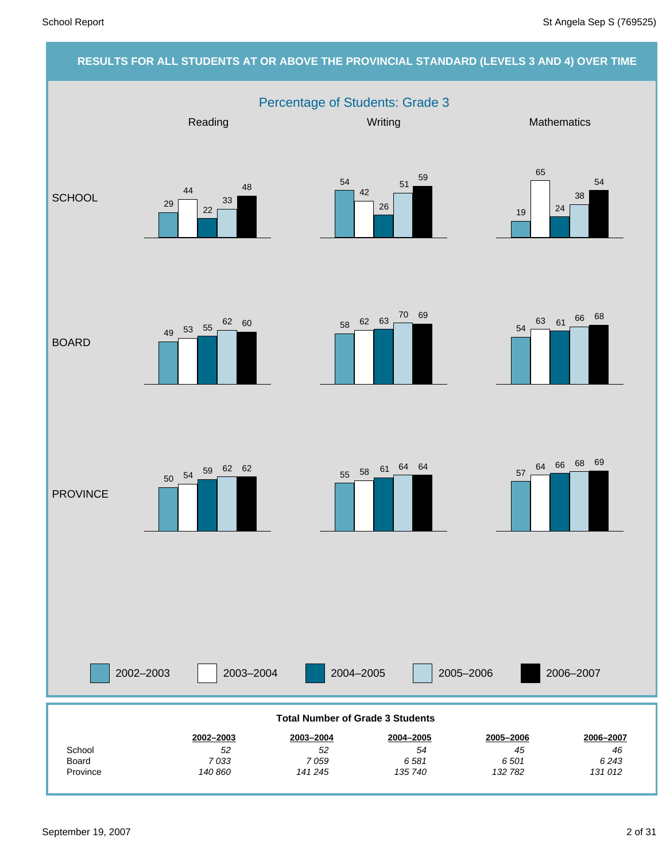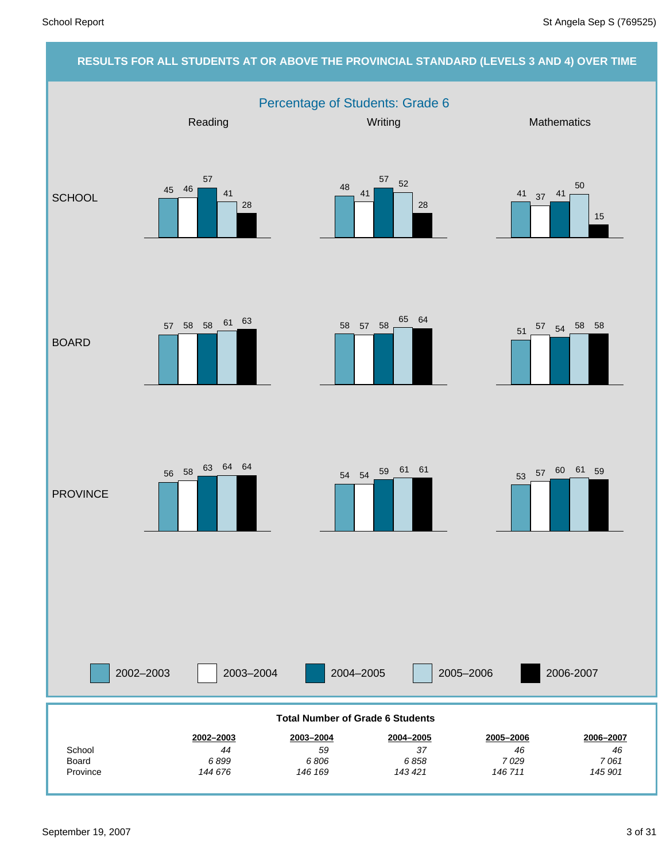### **RESULTS FOR ALL STUDENTS AT OR ABOVE THE PROVINCIAL STANDARD (LEVELS 3 AND 4) OVER TIME** Percentage of Students: Grade 6 2002–2003 2003–2004 2004–2005 2005–2006 Reading Mathematics **Mathematics** Mathematics **Mathematics SCHOOL** BOARD **PROVINCE** 2006-2007 *145 901 7 061 46* **2006–2007** *146 711 7 029 46* **2005–2006** *143 421 6 858 37* **2004–2005** *146 169 6 806 59* **2003–2004** *144 676 6 899 44* **2002–2003** Province Board **School Total Number of Grade 6 Students** 45 46 57 41 28  $48$  41 <sup>57</sup> <sup>52</sup> 28 41 37 41 50 15  $57$  58 58 61 63 58 57 58 65 64 <sup>51</sup> <sup>57</sup> <sup>54</sup> <sup>58</sup> <sup>58</sup> <sup>53</sup> <sup>57</sup> <sup>60</sup> <sup>61</sup> <sup>59</sup> <sup>54</sup> <sup>54</sup> <sup>59</sup> <sup>61</sup> <sup>61</sup> <sup>56</sup> <sup>58</sup> <sup>63</sup> <sup>64</sup> <sup>64</sup>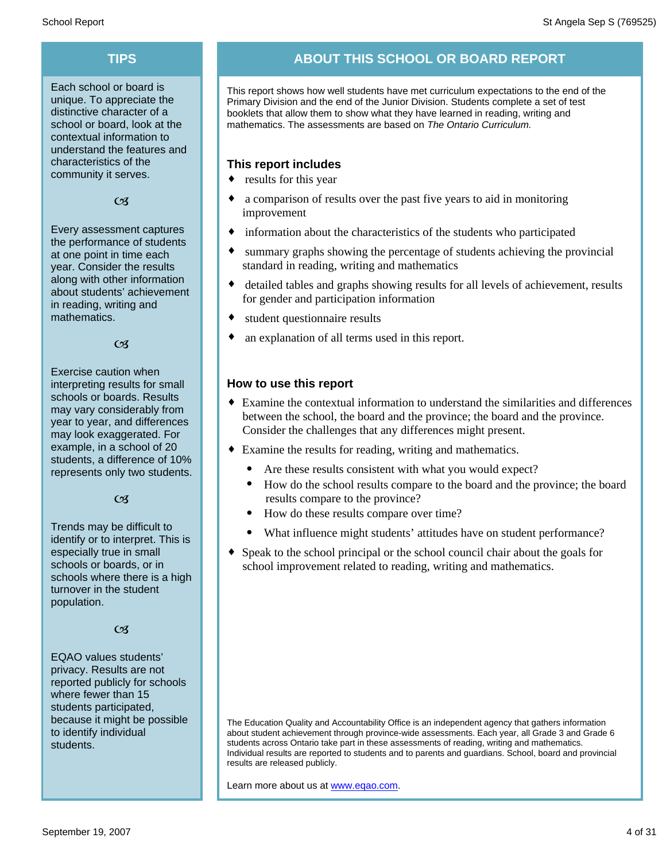Each school or board is unique. To appreciate the distinctive character of a school or board, look at the contextual information to understand the features and characteristics of the community it serves.

#### $C<sub>3</sub>$

Every assessment captures the performance of students at one point in time each year. Consider the results along with other information about students' achievement in reading, writing and mathematics.

 $\alpha$ 

Exercise caution when interpreting results for small schools or boards. Results may vary considerably from year to year, and differences may look exaggerated. For example, in a school of 20 students, a difference of 10% represents only two students.

 $C<sub>3</sub>$ 

Trends may be difficult to identify or to interpret. This is especially true in small schools or boards, or in schools where there is a high turnover in the student population.

#### $C<sub>3</sub>$

EQAO values students' privacy. Results are not reported publicly for schools where fewer than 15 students participated, because it might be possible to identify individual students.

### **TIPS ABOUT THIS SCHOOL OR BOARD REPORT**

This report shows how well students have met curriculum expectations to the end of the Primary Division and the end of the Junior Division. Students complete a set of test booklets that allow them to show what they have learned in reading, writing and mathematics. The assessments are based on *The Ontario Curriculum.*

#### **This report includes**

- $\bullet$  results for this year
- a comparison of results over the past five years to aid in monitoring improvement
- $\bullet$  information about the characteristics of the students who participated
- summary graphs showing the percentage of students achieving the provincial standard in reading, writing and mathematics
- detailed tables and graphs showing results for all levels of achievement, results for gender and participation information
- student questionnaire results
- an explanation of all terms used in this report.

#### **How to use this report**

- ¨ Examine the contextual information to understand the similarities and differences between the school, the board and the province; the board and the province. Consider the challenges that any differences might present.
- Examine the results for reading, writing and mathematics.
	- Are these results consistent with what you would expect?
	- · How do the school results compare to the board and the province; the board results compare to the province?
	- How do these results compare over time?
	- What influence might students' attitudes have on student performance?
- Speak to the school principal or the school council chair about the goals for school improvement related to reading, writing and mathematics.

The Education Quality and Accountability Office is an independent agency that gathers information about student achievement through province-wide assessments. Each year, all Grade 3 and Grade 6 students across Ontario take part in these assessments of reading, writing and mathematics. Individual results are reported to students and to parents and guardians. School, board and provincial results are released publicly.

Learn more about us at www.eqao.com.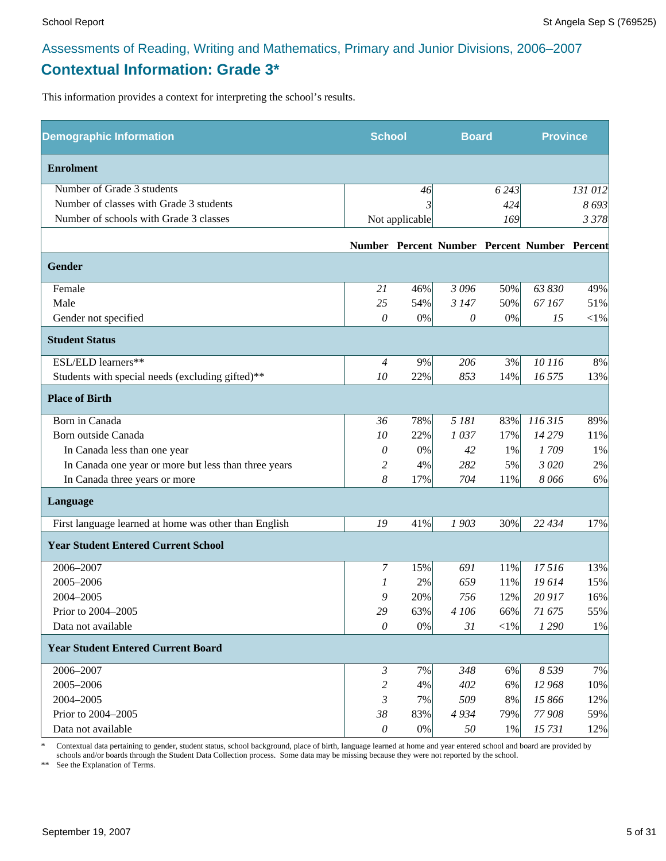### **Contextual Information: Grade 3\***

This information provides a context for interpreting the school's results.

| <b>Demographic Information</b>                        | <b>School</b>  |                | <b>Board</b> |         | <b>Province</b>                              |          |
|-------------------------------------------------------|----------------|----------------|--------------|---------|----------------------------------------------|----------|
| <b>Enrolment</b>                                      |                |                |              |         |                                              |          |
| Number of Grade 3 students                            |                | 46             |              | 6 2 4 3 |                                              | 131 012  |
| Number of classes with Grade 3 students               |                |                |              | 424     |                                              | 8693     |
| Number of schools with Grade 3 classes                |                | Not applicable |              | 169     |                                              | 3 3 7 8  |
|                                                       |                |                |              |         | Number Percent Number Percent Number Percent |          |
| Gender                                                |                |                |              |         |                                              |          |
| Female                                                | 21             | 46%            | 3 0 9 6      | 50%     | 63 830                                       | 49%      |
| Male                                                  | 25             | 54%            | 3 1 4 7      | 50%     | 67167                                        | 51%      |
| Gender not specified                                  | 0              | $0\%$          | 0            | $0\%$   | 15                                           | ${<}1\%$ |
| <b>Student Status</b>                                 |                |                |              |         |                                              |          |
| ESL/ELD learners**                                    | $\overline{4}$ | 9%             | 206          | 3%      | 10 116                                       | 8%       |
| Students with special needs (excluding gifted)**      | 10             | 22%            | 853          | 14%     | 16 575                                       | 13%      |
| <b>Place of Birth</b>                                 |                |                |              |         |                                              |          |
| Born in Canada                                        | 36             | 78%            | 5 181        | 83%     | 116 315                                      | 89%      |
| Born outside Canada                                   | 10             | 22%            | 1037         | 17%     | 14 279                                       | 11%      |
| In Canada less than one year                          | 0              | 0%             | 42           | 1%      | 1709                                         | 1%       |
| In Canada one year or more but less than three years  | 2              | 4%             | 282          | 5%      | 3 0 20                                       | 2%       |
| In Canada three years or more                         | 8              | 17%            | 704          | 11%     | 8066                                         | 6%       |
| Language                                              |                |                |              |         |                                              |          |
| First language learned at home was other than English | 19             | 41%            | 1903         | 30%     | 22 434                                       | 17%      |
| <b>Year Student Entered Current School</b>            |                |                |              |         |                                              |          |
| 2006-2007                                             | 7              | 15%            | 691          | 11%     | 17516                                        | 13%      |
| 2005-2006                                             | 1              | 2%             | 659          | 11%     | 19614                                        | 15%      |
| 2004-2005                                             | 9              | 20%            | 756          | 12%     | 20 917                                       | 16%      |
| Prior to 2004-2005                                    | 29             | 63%            | 4 106        | 66%     | 71 675                                       | 55%      |
| Data not available                                    | $\theta$       | $0\%$          | 31           | $<$ 1%  | 1 2 9 0                                      | 1%       |
| <b>Year Student Entered Current Board</b>             |                |                |              |         |                                              |          |
| 2006-2007                                             | $\mathfrak{Z}$ | 7%             | 348          | 6%      | 8 5 3 9                                      | 7%       |
| 2005-2006                                             | 2              | 4%             | 402          | 6%      | 12 968                                       | 10%      |
| 2004-2005                                             | 3              | 7%             | 509          | 8%      | 15 866                                       | 12%      |
| Prior to 2004-2005                                    | 38             | 83%            | 4934         | 79%     | 77 908                                       | 59%      |
| Data not available                                    | $\theta$       | $0\%$          | 50           | 1%      | 15731                                        | 12%      |

\* Contextual data pertaining to gender, student status, school background, place of birth, language learned at home and year entered school and board are provided by schools and/or boards through the Student Data Collection process. Some data may be missing because they were not reported by the school.

\*\* See the Explanation of Terms.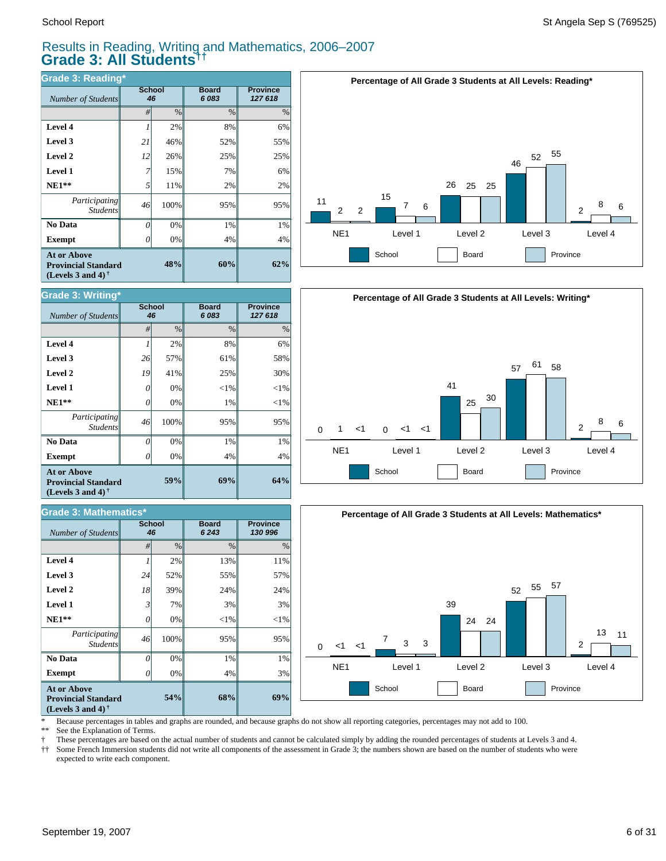#### Results in Reading, Writing and Mathematics, 2006–2007 **Grade 3: All Students††**

| Grade 3: Reading*                                                                     |              |               |                       |                            |  |  |  |  |
|---------------------------------------------------------------------------------------|--------------|---------------|-----------------------|----------------------------|--|--|--|--|
| Number of Students                                                                    | School<br>46 |               | <b>Board</b><br>6 083 | <b>Province</b><br>127 618 |  |  |  |  |
|                                                                                       | #            | $\frac{0}{0}$ | $\%$                  | $\%$                       |  |  |  |  |
| Level 4                                                                               |              | 2%            | 8%                    | 6%                         |  |  |  |  |
| Level 3                                                                               | 21           | 46%           | 52%                   | 55%                        |  |  |  |  |
| Level 2                                                                               | 12           | 26%           | 25%                   | 25%                        |  |  |  |  |
| Level 1                                                                               | 7            | 15%           | 7%                    | 6%                         |  |  |  |  |
| $NE1**$                                                                               | 5            | 11%           | 2%                    | 2%                         |  |  |  |  |
| <i>Participating</i><br><b>Students</b>                                               | 46           | 100%          | 95%                   | 95%                        |  |  |  |  |
| No Data                                                                               | 0            | 0%            | 1%                    | 1%                         |  |  |  |  |
| <b>Exempt</b>                                                                         |              | 0%            | 4%                    | 4%                         |  |  |  |  |
| <b>At or Above</b><br>48%<br><b>Provincial Standard</b><br>(Levels 3 and 4) $\bar{ }$ |              |               | 60%                   | 62%                        |  |  |  |  |



| <b>Grade 3: Writing*</b>                                                       |              |      |                      |                            |  |  |  |  |  |
|--------------------------------------------------------------------------------|--------------|------|----------------------|----------------------------|--|--|--|--|--|
| <b>Number of Students</b>                                                      | School<br>46 |      | <b>Board</b><br>6083 | <b>Province</b><br>127 618 |  |  |  |  |  |
|                                                                                | #            | $\%$ | $\frac{0}{0}$        | $\%$                       |  |  |  |  |  |
| Level 4                                                                        | 1            | 2%   | 8%                   | 6%                         |  |  |  |  |  |
| Level 3                                                                        | 26           | 57%  | 61%                  | 58%                        |  |  |  |  |  |
| Level 2                                                                        | 19           | 41%  | 25%                  | 30%                        |  |  |  |  |  |
| <b>Level 1</b>                                                                 | 0            | 0%   | $<$ 1%               | ${<}1\%$                   |  |  |  |  |  |
| $NE1**$                                                                        | 0            | 0%   | 1%                   | ${<}1\%$                   |  |  |  |  |  |
| Participating<br><b>Students</b>                                               | 46           | 100% | 95%                  | 95%                        |  |  |  |  |  |
| No Data                                                                        | 0            | 0%   | 1%                   | 1%                         |  |  |  |  |  |
| <b>Exempt</b>                                                                  |              | 0%   | 4%                   | 4%                         |  |  |  |  |  |
| At or Above<br>59%<br><b>Provincial Standard</b><br>(Levels 3 and 4) $\dagger$ |              |      | 69%                  | 64%                        |  |  |  |  |  |

| <b>Grade 3: Mathematics*</b>                                                                                |                     |      |                         |                            |  |  |  |  |  |
|-------------------------------------------------------------------------------------------------------------|---------------------|------|-------------------------|----------------------------|--|--|--|--|--|
| <b>Number of Students</b>                                                                                   | <b>School</b><br>46 |      | <b>Board</b><br>6 2 4 3 | <b>Province</b><br>130 996 |  |  |  |  |  |
|                                                                                                             | #                   | $\%$ | $\frac{0}{0}$           | $\%$                       |  |  |  |  |  |
| Level 4                                                                                                     |                     | 2%   | 13%                     | 11%                        |  |  |  |  |  |
| Level 3                                                                                                     | 24                  | 52%  | 55%                     | 57%                        |  |  |  |  |  |
| Level 2                                                                                                     | 18                  | 39%  | 24%                     | 24%                        |  |  |  |  |  |
| <b>Level 1</b>                                                                                              | $\mathfrak{Z}$      | 7%   | 3%                      | 3%                         |  |  |  |  |  |
| $NE1**$                                                                                                     | 0                   | 0%   | $<$ 1%                  | $<$ 1%                     |  |  |  |  |  |
| Participating<br><b>Students</b>                                                                            | 46                  | 100% | 95%                     | 95%                        |  |  |  |  |  |
| No Data                                                                                                     | 0                   | 0%   | 1%                      | 1%                         |  |  |  |  |  |
| <b>Exempt</b>                                                                                               | ( )                 | 0%   | 4%                      | 3%                         |  |  |  |  |  |
| <b>At or Above</b><br>54%<br><b>Provincial Standard</b><br>(Levels 3 and 4) <sup><math>\dagger</math></sup> |                     |      | 68%                     | 69%                        |  |  |  |  |  |





\* Because percentages in tables and graphs are rounded, and because graphs do not show all reporting categories, percentages may not add to 100.<br>\*\* See the Explanation of Terms

See the Explanation of Terms.

† These percentages are based on the actual number of students and cannot be calculated simply by adding the rounded percentages of students at Levels 3 and 4.<br>†† Some French Immersion students did not write all components Some French Immersion students did not write all components of the assessment in Grade 3; the numbers shown are based on the number of students who were expected to write each component.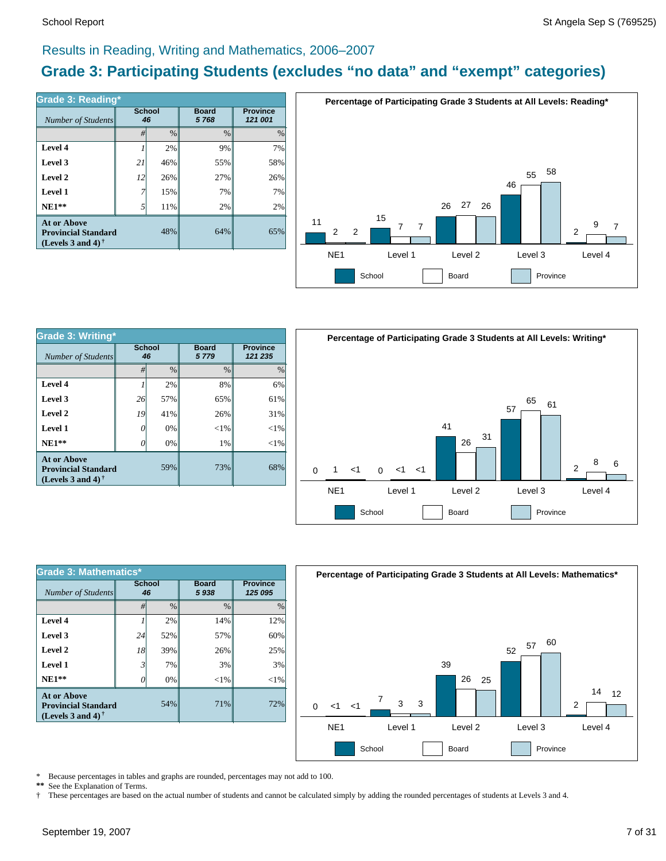#### Results in Reading, Writing and Mathematics, 2006–2007

### **Grade 3: Participating Students (excludes "no data" and "exempt" categories)**

| Number of Students                                                             | Grade 3: Reading*<br><b>School</b><br>46 |      | <b>Board</b><br>5768 | <b>Province</b><br>121 001 |  |
|--------------------------------------------------------------------------------|------------------------------------------|------|----------------------|----------------------------|--|
|                                                                                | #                                        | $\%$ | $\%$                 | $\%$                       |  |
| Level 4                                                                        |                                          | 2%   | 9%                   | 7%                         |  |
| Level 3                                                                        | 21                                       | 46%  | 55%                  | 58%                        |  |
| Level 2                                                                        | 12                                       | 26%  | 27%                  | 26%                        |  |
| Level 1                                                                        |                                          | 15%  | 7%                   | 7%                         |  |
| $NE1**$                                                                        | .5                                       | 11%  | 2%                   | 2%                         |  |
| <b>At or Above</b><br><b>Provincial Standard</b><br>(Levels 3 and 4) $\dagger$ |                                          | 48%  | 64%                  | 65%                        |  |



| <b>Grade 3: Writing*</b>                                                                      |                     |               |                      |                            |  |  |  |  |
|-----------------------------------------------------------------------------------------------|---------------------|---------------|----------------------|----------------------------|--|--|--|--|
| Number of Students                                                                            | <b>School</b><br>46 |               | <b>Board</b><br>5779 | <b>Province</b><br>121 235 |  |  |  |  |
|                                                                                               | #                   | $\frac{0}{0}$ | $\frac{0}{0}$        | $\%$                       |  |  |  |  |
| Level 4                                                                                       |                     | 2%            | 8%                   | 6%                         |  |  |  |  |
| Level 3                                                                                       | 26                  | 57%           | 65%                  | 61%                        |  |  |  |  |
| Level 2                                                                                       | 19                  | 41%           | 26%                  | 31%                        |  |  |  |  |
| Level 1                                                                                       | 0                   | $0\%$         | $<$ 1%               | ${<}1\%$                   |  |  |  |  |
| $NE1**$                                                                                       |                     | 0%            | 1%                   | $<$ 1%                     |  |  |  |  |
| At or Above<br><b>Provincial Standard</b><br>(Levels 3 and 4) <sup><math>\dagger</math></sup> |                     | 59%           | 73%                  | 68%                        |  |  |  |  |



| <b>Grade 3: Mathematics*</b>                                                          |                     |               |                      |                            |  |  |  |  |
|---------------------------------------------------------------------------------------|---------------------|---------------|----------------------|----------------------------|--|--|--|--|
| Number of Students                                                                    | <b>School</b><br>46 |               | <b>Board</b><br>5938 | <b>Province</b><br>125 095 |  |  |  |  |
|                                                                                       | #                   | $\frac{0}{0}$ | $\frac{0}{0}$        | $\frac{0}{0}$              |  |  |  |  |
| Level 4                                                                               |                     | 2%            | 14%                  | 12%                        |  |  |  |  |
| Level 3                                                                               | 24                  | 52%           | 57%                  | 60%                        |  |  |  |  |
| Level 2                                                                               | 18                  | 39%           | 26%                  | 25%                        |  |  |  |  |
| Level 1                                                                               | 3                   | 7%            | 3%                   | 3%                         |  |  |  |  |
| $NE1**$                                                                               | 0                   | 0%            | ${<}1\%$             | $<$ 1%                     |  |  |  |  |
| <b>At or Above</b><br>54%<br><b>Provincial Standard</b><br>(Levels 3 and 4) $\dagger$ |                     |               | 71%                  | 72%                        |  |  |  |  |



\* Because percentages in tables and graphs are rounded, percentages may not add to 100.<br>\*\* See the Explanation of Terms See the Explanation of Terms.

† These percentages are based on the actual number of students and cannot be calculated simply by adding the rounded percentages of students at Levels 3 and 4.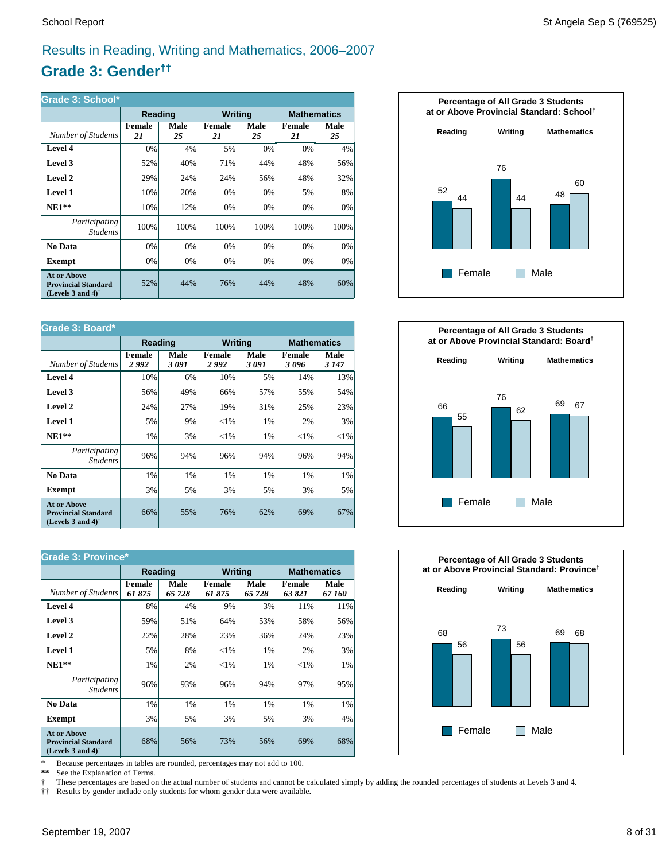### Results in Reading, Writing and Mathematics, 2006–2007

### **Grade 3: Gender††**

| <b>Grade 3: School*</b>                                                        |              |            |                |            |                     |            |  |
|--------------------------------------------------------------------------------|--------------|------------|----------------|------------|---------------------|------------|--|
|                                                                                | Reading      |            | <b>Writing</b> |            | <b>Mathematics</b>  |            |  |
| Number of Students                                                             | Female<br>21 | Male<br>25 | Female<br>21   | Male<br>25 | <b>Female</b><br>21 | Male<br>25 |  |
| Level 4                                                                        | 0%           | 4%         | 5%             | 0%         | 0%                  | 4%         |  |
| Level 3                                                                        | 52%          | 40%        | 71%            | 44%        | 48%                 | 56%        |  |
| Level 2                                                                        | 29%          | 24%        | 24%            | 56%        | 48%                 | 32%        |  |
| <b>Level 1</b>                                                                 | 10%          | 20%        | 0%             | 0%         | 5%                  | 8%         |  |
| $NE1**$                                                                        | 10%          | 12%        | 0%             | 0%         | 0%                  | 0%         |  |
| <i>Participating</i><br><i>Students</i>                                        | 100%         | 100%       | 100%           | 100%       | 100%                | 100%       |  |
| No Data                                                                        | 0%           | 0%         | 0%             | 0%         | 0%                  | 0%         |  |
| Exempt                                                                         | 0%           | 0%         | 0%             | $0\%$      | 0%                  | 0%         |  |
| <b>At or Above</b><br><b>Provincial Standard</b><br>(Levels 3 and 4) $\bar{ }$ | 52%          | 44%        | 76%            | 44%        | 48%                 | 60%        |  |

| Grade 3: Board*                                                                |                       |               |                        |               |                       |                 |  |  |  |
|--------------------------------------------------------------------------------|-----------------------|---------------|------------------------|---------------|-----------------------|-----------------|--|--|--|
|                                                                                | Reading               |               | <b>Writing</b>         |               | <b>Mathematics</b>    |                 |  |  |  |
| Number of Students                                                             | <b>Female</b><br>2992 | Male<br>3 091 | <b>Female</b><br>2 992 | Male<br>3 091 | <b>Female</b><br>3096 | Male<br>3 1 4 7 |  |  |  |
| Level 4                                                                        | 10%                   | 6%            | 10%                    | 5%            | 14%                   | 13%             |  |  |  |
| Level 3                                                                        | 56%                   | 49%           | 66%                    | 57%           | 55%                   | 54%             |  |  |  |
| Level 2                                                                        | 24%                   | 27%           | 19%                    | 31%           | 25%                   | 23%             |  |  |  |
| <b>Level 1</b>                                                                 | 5%                    | 9%            | ${<}1\%$               | 1%            | 2%                    | 3%              |  |  |  |
| $NE1**$                                                                        | 1%                    | 3%            | ${<}1\%$               | 1%            | ${<}1\%$              | ${<}1\%$        |  |  |  |
| Participating<br><i>Students</i>                                               | 96%                   | 94%           | 96%                    | 94%           | 96%                   | 94%             |  |  |  |
| No Data                                                                        | 1%                    | 1%            | 1%                     | 1%            | 1%                    | $1\%$           |  |  |  |
| <b>Exempt</b>                                                                  | 3%                    | 5%            | 3%                     | 5%            | 3%                    | 5%              |  |  |  |
| <b>At or Above</b><br><b>Provincial Standard</b><br>(Levels 3 and 4) $\dagger$ | 66%                   | 55%           | 76%                    | 62%           | 69%                   | 67%             |  |  |  |

| <b>Grade 3: Province*</b>                                                                            |                        |                |                        |                       |                         |                |  |  |  |
|------------------------------------------------------------------------------------------------------|------------------------|----------------|------------------------|-----------------------|-------------------------|----------------|--|--|--|
|                                                                                                      | <b>Reading</b>         |                | <b>Writing</b>         |                       | <b>Mathematics</b>      |                |  |  |  |
| Number of Students                                                                                   | <b>Female</b><br>61875 | Male<br>65 728 | <b>Female</b><br>61875 | <b>Male</b><br>65 728 | <b>Female</b><br>63 821 | Male<br>67 160 |  |  |  |
| Level 4                                                                                              | 8%                     | 4%             | 9%                     | 3%                    | 11%                     | 11%            |  |  |  |
| Level 3                                                                                              | 59%                    | 51%            | 64%                    | 53%                   | 58%                     | 56%            |  |  |  |
| Level 2                                                                                              | 22%                    | 28%            | 23%                    | 36%                   | 24%                     | 23%            |  |  |  |
| Level 1                                                                                              | 5%                     | 8%             | ${<}1\%$               | 1%                    | 2%                      | 3%             |  |  |  |
| $NE1**$                                                                                              | 1%                     | 2%             | ${<}1\%$               | 1%                    | ${<}1\%$                | 1%             |  |  |  |
| <i>Participating</i><br><b>Students</b>                                                              | 96%                    | 93%            | 96%                    | 94%                   | 97%                     | 95%            |  |  |  |
| No Data                                                                                              | 1%                     | 1%             | 1%                     | 1%                    | 1%                      | 1%             |  |  |  |
| <b>Exempt</b>                                                                                        | 3%                     | 5%             | 3%                     | 5%                    | 3%                      | 4%             |  |  |  |
| <b>At or Above</b><br><b>Provincial Standard</b><br>(Levels 3 and 4) <sup><math>\dagger</math></sup> | 68%                    | 56%            | 73%                    | 56%                   | 69%                     | 68%            |  |  |  |

\* Because percentages in tables are rounded, percentages may not add to 100.<br>\*\* See the Explanation of Terms.

See the Explanation of Terms.

† These percentages are based on the actual number of students and cannot be calculated simply by adding the rounded percentages of students at Levels 3 and 4.<br>†† Results by gender include only students for whom gender dat

†† Results by gender include only students for whom gender data were available.





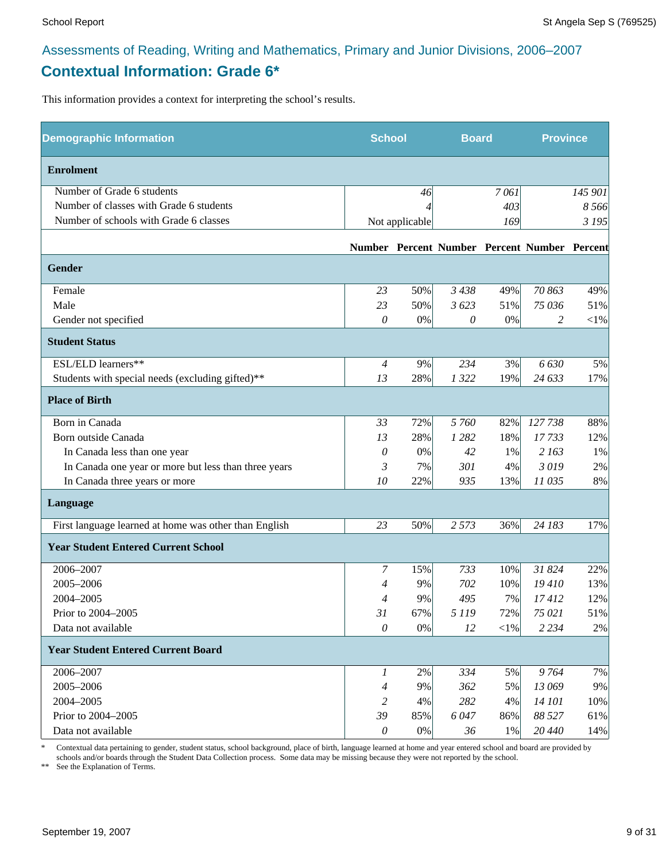### Assessments of Reading, Writing and Mathematics, Primary and Junior Divisions, 2006–2007 **Contextual Information: Grade 6\***

This information provides a context for interpreting the school's results.

| <b>Demographic Information</b>                        |                | <b>School</b>  |         | <b>Board</b> |                                              | <b>Province</b> |
|-------------------------------------------------------|----------------|----------------|---------|--------------|----------------------------------------------|-----------------|
| <b>Enrolment</b>                                      |                |                |         |              |                                              |                 |
| Number of Grade 6 students                            |                | 46             |         | 7061         |                                              | 145 901         |
| Number of classes with Grade 6 students               |                |                |         | 403          |                                              | 8 5 6 6         |
| Number of schools with Grade 6 classes                |                | Not applicable |         | 169          |                                              | 3 1 9 5         |
|                                                       |                |                |         |              | Number Percent Number Percent Number Percent |                 |
| <b>Gender</b>                                         |                |                |         |              |                                              |                 |
| Female                                                | 23             | 50%            | 3438    | 49%          | 70 863                                       | 49%             |
| Male                                                  | 23             | 50%            | 3 623   | 51%          | 75 036                                       | 51%             |
| Gender not specified                                  | $\theta$       | $0\%$          | 0       | 0%           | 2                                            | ${<}1\%$        |
| <b>Student Status</b>                                 |                |                |         |              |                                              |                 |
| ESL/ELD learners**                                    | $\overline{4}$ | 9%             | 234     | 3%           | 6630                                         | 5%              |
| Students with special needs (excluding gifted)**      | 13             | 28%            | 1322    | 19%          | 24 633                                       | 17%             |
| <b>Place of Birth</b>                                 |                |                |         |              |                                              |                 |
| Born in Canada                                        | 33             | 72%            | 5 760   | 82%          | 127738                                       | 88%             |
| Born outside Canada                                   | 13             | 28%            | 1 2 8 2 | 18%          | 17733                                        | 12%             |
| In Canada less than one year                          | 0              | 0%             | 42      | 1%           | 2 163                                        | 1%              |
| In Canada one year or more but less than three years  | 3              | 7%             | 301     | 4%           | 3019                                         | 2%              |
| In Canada three years or more                         | 10             | 22%            | 935     | 13%          | 11 035                                       | 8%              |
| Language                                              |                |                |         |              |                                              |                 |
| First language learned at home was other than English | 23             | 50%            | 2 5 7 3 | 36%          | 24 183                                       | 17%             |
| <b>Year Student Entered Current School</b>            |                |                |         |              |                                              |                 |
| 2006-2007                                             | 7              | 15%            | 733     | 10%          | 31 824                                       | 22%             |
| 2005-2006                                             | 4              | 9%             | 702     | 10%          | 19410                                        | 13%             |
| 2004-2005                                             | 4              | 9%             | 495     | 7%           | 17412                                        | 12%             |
| Prior to 2004-2005                                    | 31             | 67%            | 5 1 1 9 | 72%          | 75 021                                       | 51%             |
| Data not available                                    | $\theta$       | $0\%$          | 12      | $<\!\!1\%$   | 2 2 3 4                                      | 2%              |
| <b>Year Student Entered Current Board</b>             |                |                |         |              |                                              |                 |
| 2006-2007                                             | 1              | 2%             | 334     | 5%           | 9764                                         | 7%              |
| 2005-2006                                             | 4              | 9%             | 362     | 5%           | 13 069                                       | 9%              |
| 2004-2005                                             | 2              | 4%             | 282     | 4%           | 14 101                                       | 10%             |
| Prior to 2004-2005                                    | 39             | 85%            | 6047    | 86%          | 88 527                                       | 61%             |
| Data not available                                    | $\theta$       | $0\%$          | 36      | 1%           | 20 440                                       | 14%             |

\* Contextual data pertaining to gender, student status, school background, place of birth, language learned at home and year entered school and board are provided by schools and/or boards through the Student Data Collection process. Some data may be missing because they were not reported by the school.

\*\* See the Explanation of Terms.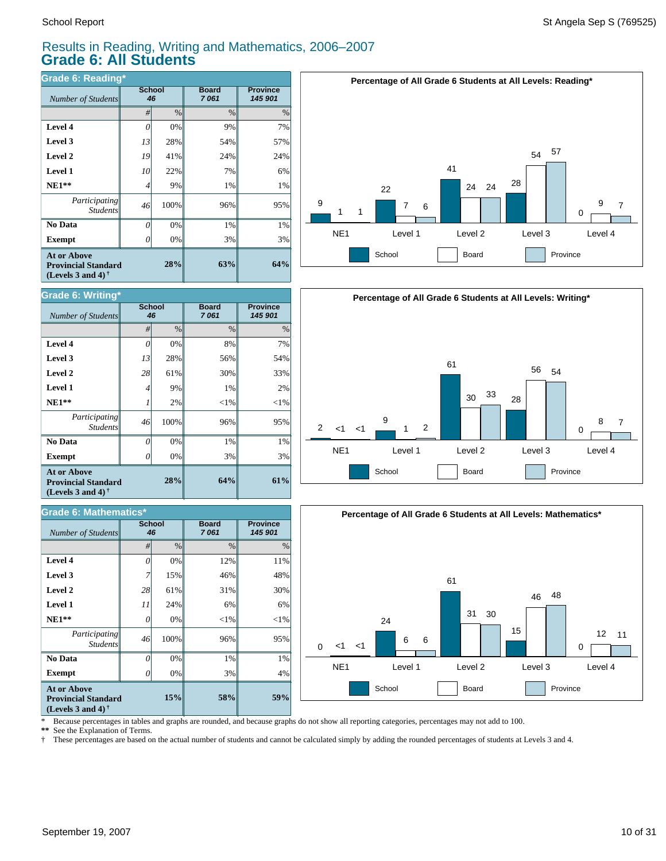$Number of Students$ 

**Grade 6: Writing\***

**Exempt**  $\qquad$  0

*Number of Students 46*

**Grade 6: Mathematics\***

*Participating Students*

 **No Data**

**At or Above Provincial Standard (Levels 3 and 4) †**

 **NE1\*\* Level 1 Level 2 Level 3 Level 4**

#### Results in Reading, Writing and Mathematics, 2006–2007 **Grade 6: All Students**

**Board** *7 061*

**64%**

*#* % % %

**58%**

3% 1% 96%  $<$ 1% 6% 31% 46% 12%

**Board** *7 061*

**28%**

**15%**

0% 0% 100% 0% 24% 61% 15% 0%

0% 0% 100% 2% 9% 61% 28% 0%

**School**

3% 1% 96%  $<$ 1% 1% 30% 56% 8%

| <b>Grade 6: Reading*</b>                                                              |              |      |                      |                            |  |  |  |
|---------------------------------------------------------------------------------------|--------------|------|----------------------|----------------------------|--|--|--|
| Number of Students                                                                    | School<br>46 |      | <b>Board</b><br>7061 | <b>Province</b><br>145 901 |  |  |  |
|                                                                                       | #            | $\%$ | $\frac{0}{0}$        | %                          |  |  |  |
| Level 4                                                                               | 0            | 0%   | 9%                   | 7%                         |  |  |  |
| Level 3                                                                               | 13           | 28%  | 54%                  | 57%                        |  |  |  |
| Level 2                                                                               | 19           | 41%  | 24%                  | 24%                        |  |  |  |
| Level 1                                                                               | 10           | 22%  | 7%                   | 6%                         |  |  |  |
| $NE1**$                                                                               | 4            | 9%   | 1%                   | 1%                         |  |  |  |
| Participating<br><b>Students</b>                                                      | 46           | 100% | 96%                  | 95%                        |  |  |  |
| No Data                                                                               | 0            | 0%   | 1%                   | 1%                         |  |  |  |
| <b>Exempt</b>                                                                         |              | 0%   | 3%                   | 3%                         |  |  |  |
| <b>At or Above</b><br>28%<br><b>Provincial Standard</b><br>(Levels 3 and 4) $\dagger$ |              |      | 63%                  | 64%                        |  |  |  |

**School**







\* Because percentages in tables and graphs are rounded, and because graphs do not show all reporting categories, percentages may not add to 100.

**59%**

4% 1% 95%  $<$ 1% 6% 30% 48% 11%

**Province** *145 901*

**61%**

**Province** *145 901*

3% 1% 95%  $<$ 1% 2% 33% 54% 7%

**\*\*** See the Explanation of Terms.

**Exempt**  $\qquad$  0

*Participating Students*

 **No Data**

**At or Above Provincial Standard (Levels 3 and 4) †**

 **NE1\*\* Level 1 Level 2 Level 3 Level 4**

† These percentages are based on the actual number of students and cannot be calculated simply by adding the rounded percentages of students at Levels 3 and 4.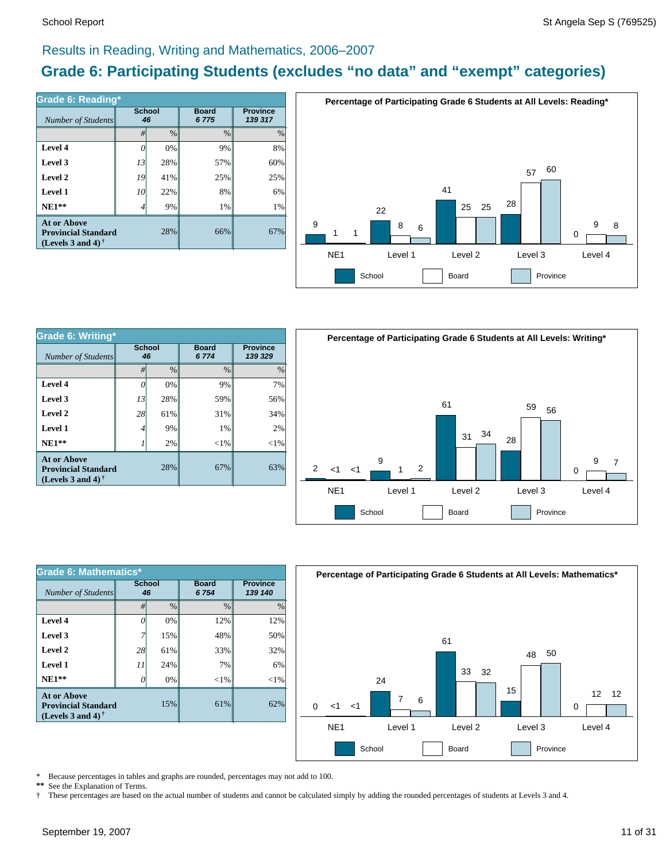#### Results in Reading, Writing and Mathematics, 2006–2007

### **Grade 6: Participating Students (excludes "no data" and "exempt" categories)**

| Number of Students                                                             | <b>School</b><br>46 |      | <b>Board</b><br>6775 | <b>Province</b><br>139 317 |  |
|--------------------------------------------------------------------------------|---------------------|------|----------------------|----------------------------|--|
|                                                                                | #                   | $\%$ | $\frac{0}{0}$        | $\frac{0}{0}$              |  |
| Level 4                                                                        |                     | 0%   | 9%                   | 8%                         |  |
| Level 3                                                                        | 13                  | 28%  | 57%                  | 60%                        |  |
| Level 2                                                                        | 19                  | 41%  | 25%                  | 25%                        |  |
| Level 1                                                                        | 10                  | 22%  | 8%                   | 6%                         |  |
| $NE1**$                                                                        | 4                   | 9%   | 1%                   | 1%                         |  |
| <b>At or Above</b><br><b>Provincial Standard</b><br>(Levels 3 and 4) $\dagger$ |                     | 28%  | 66%                  | 67%                        |  |



| <b>Grade 6: Writing*</b>                                                              |                     |     |                         |                            |  |  |  |
|---------------------------------------------------------------------------------------|---------------------|-----|-------------------------|----------------------------|--|--|--|
| Number of Students                                                                    | <b>School</b><br>46 |     | <b>Board</b><br>6 7 7 4 | <b>Province</b><br>139 329 |  |  |  |
|                                                                                       | $\frac{0}{0}$<br>#  |     | $\frac{0}{0}$           | $\%$                       |  |  |  |
| Level 4                                                                               | 0                   | 0%  | 9%                      | 7%                         |  |  |  |
| Level 3                                                                               | 13                  | 28% | 59%                     | 56%                        |  |  |  |
| Level 2                                                                               | 28                  | 61% | 31%                     | 34%                        |  |  |  |
| Level 1                                                                               | 4                   | 9%  | 1%                      | 2%                         |  |  |  |
| $NE1**$                                                                               |                     | 2%  | $<$ 1%                  | $<$ 1%                     |  |  |  |
| <b>At or Above</b><br>28%<br><b>Provincial Standard</b><br>(Levels 3 and 4) $\dagger$ |                     |     | 67%                     | 63%                        |  |  |  |



| Grade 6: Mathematics*                                                          |                     |               |                      |                            |  |  |  |
|--------------------------------------------------------------------------------|---------------------|---------------|----------------------|----------------------------|--|--|--|
| Number of Students                                                             | <b>School</b><br>46 |               | <b>Board</b><br>6754 | <b>Province</b><br>139 140 |  |  |  |
|                                                                                | #                   | $\frac{0}{0}$ | $\frac{0}{0}$        | $\%$                       |  |  |  |
| Level 4                                                                        | 0                   | 0%            | 12%                  | 12%                        |  |  |  |
| Level 3                                                                        |                     | 15%           | 48%                  | 50%                        |  |  |  |
| Level 2                                                                        | 28                  | 61%           | 33%                  | 32%                        |  |  |  |
| Level 1                                                                        | 11                  | 24%           | 7%                   | 6%                         |  |  |  |
| $NE1**$                                                                        | O                   | 0%            | $<$ 1%               | ${<}1\%$                   |  |  |  |
| <b>At or Above</b><br><b>Provincial Standard</b><br>(Levels 3 and 4) $\dagger$ |                     | 15%           | 61%                  | 62%                        |  |  |  |



\* Because percentages in tables and graphs are rounded, percentages may not add to 100.<br>\*\* See the Explanation of Terms See the Explanation of Terms.

† These percentages are based on the actual number of students and cannot be calculated simply by adding the rounded percentages of students at Levels 3 and 4.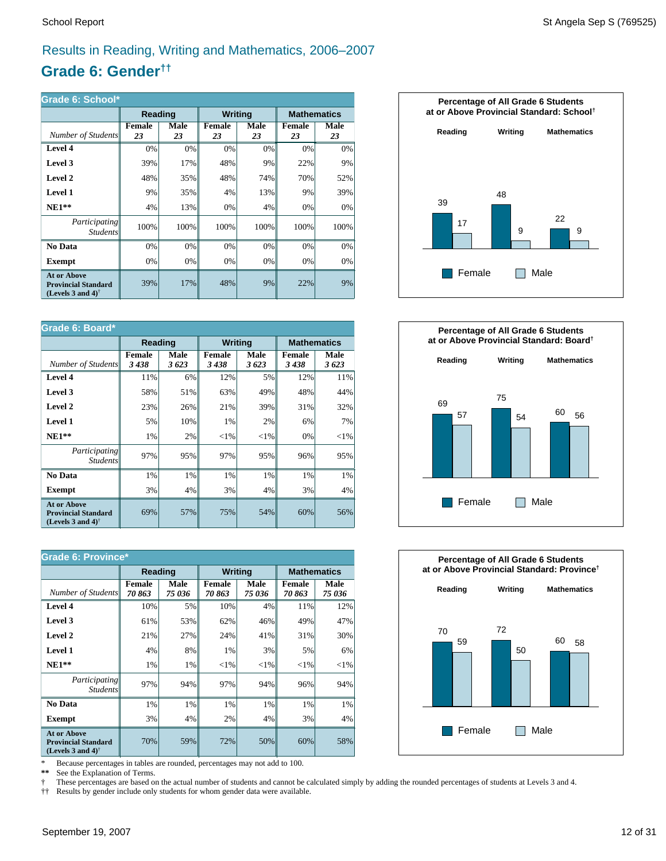### Results in Reading, Writing and Mathematics, 2006–2007

### **Grade 6: Gender††**

| Grade 6: School*                                                                                     |                     |                   |                     |            |                     |                    |  |
|------------------------------------------------------------------------------------------------------|---------------------|-------------------|---------------------|------------|---------------------|--------------------|--|
|                                                                                                      | Reading             |                   | <b>Writing</b>      |            |                     | <b>Mathematics</b> |  |
| Number of Students                                                                                   | <b>Female</b><br>23 | <b>Male</b><br>23 | <b>Female</b><br>23 | Male<br>23 | <b>Female</b><br>23 | Male<br>23         |  |
| Level 4                                                                                              | 0%                  | 0%                | 0%                  | 0%         | 0%                  | 0%                 |  |
| Level 3                                                                                              | 39%                 | 17%               | 48%                 | 9%         | 22%                 | 9%                 |  |
| Level 2                                                                                              | 48%                 | 35%               | 48%                 | 74%        | 70%                 | 52%                |  |
| <b>Level 1</b>                                                                                       | 9%                  | 35%               | 4%                  | 13%        | 9%                  | 39%                |  |
| $NE1**$                                                                                              | 4%                  | 13%               | 0%                  | 4%         | 0%                  | 0%                 |  |
| Participating<br><i>Students</i>                                                                     | 100%                | 100%              | 100%                | 100%       | 100%                | 100%               |  |
| No Data                                                                                              | 0%                  | 0%                | 0%                  | 0%         | 0%                  | 0%                 |  |
| Exempt                                                                                               | 0%                  | 0%                | 0%                  | 0%         | 0%                  | 0%                 |  |
| <b>At or Above</b><br><b>Provincial Standard</b><br>(Levels 3 and 4) <sup><math>\dagger</math></sup> | 39%                 | 17%               | 48%                 | 9%         | 22%                 | 9%                 |  |

| Grade 6: Board*                                                                                      |                       |              |                       |              |                       |                    |
|------------------------------------------------------------------------------------------------------|-----------------------|--------------|-----------------------|--------------|-----------------------|--------------------|
|                                                                                                      | Reading               |              | <b>Writing</b>        |              |                       | <b>Mathematics</b> |
| Number of Students                                                                                   | <b>Female</b><br>3438 | Male<br>3623 | <b>Female</b><br>3438 | Male<br>3623 | <b>Female</b><br>3438 | Male<br>3623       |
| Level 4                                                                                              | 11%                   | 6%           | 12%                   | 5%           | 12%                   | 11%                |
| Level 3                                                                                              | 58%                   | 51%          | 63%                   | 49%          | 48%                   | 44%                |
| Level 2                                                                                              | 23%                   | 26%          | 21%                   | 39%          | 31%                   | 32%                |
| Level 1                                                                                              | 5%                    | 10%          | 1%                    | 2%           | 6%                    | 7%                 |
| $NE1**$                                                                                              | 1%                    | 2%           | ${<}1\%$              | ${<}1\%$     | 0%                    | ${<}1\%$           |
| Participating<br><b>Students</b>                                                                     | 97%                   | 95%          | 97%                   | 95%          | 96%                   | 95%                |
| No Data                                                                                              | 1%                    | 1%           | 1%                    | 1%           | 1%                    | 1%                 |
| Exempt                                                                                               | 3%                    | 4%           | 3%                    | 4%           | 3%                    | 4%                 |
| <b>At or Above</b><br><b>Provincial Standard</b><br>(Levels 3 and 4) <sup><math>\dagger</math></sup> | 69%                   | 57%          | 75%                   | 54%          | 60%                   | 56%                |

| <b>Grade 6: Province*</b>                                                      |                        |                |                        |                |                    |                |  |
|--------------------------------------------------------------------------------|------------------------|----------------|------------------------|----------------|--------------------|----------------|--|
|                                                                                | Reading                |                | <b>Writing</b>         |                | <b>Mathematics</b> |                |  |
| Number of Students                                                             | <b>Female</b><br>70863 | Male<br>75 036 | <b>Female</b><br>70863 | Male<br>75 036 | Female<br>70863    | Male<br>75 036 |  |
| Level 4                                                                        | 10%                    | 5%             | 10%                    | 4%             | 11%                | 12%            |  |
| Level 3                                                                        | 61%                    | 53%            | 62%                    | 46%            | 49%                | 47%            |  |
| Level 2                                                                        | 21%                    | 27%            | 24%                    | 41%            | 31%                | 30%            |  |
| <b>Level 1</b>                                                                 | 4%                     | 8%             | 1%                     | 3%             | 5%                 | 6%             |  |
| $NE1**$                                                                        | 1%                     | 1%             | ${<}1\%$               | ${<}1\%$       | ${<}1\%$           | ${<}1\%$       |  |
| <i>Participating</i><br><i>Students</i>                                        | 97%                    | 94%            | 97%                    | 94%            | 96%                | 94%            |  |
| No Data                                                                        | 1%                     | 1%             | 1%                     | 1%             | 1%                 | $1\%$          |  |
| <b>Exempt</b>                                                                  | 3%                     | 4%             | 2%                     | 4%             | 3%                 | $4\%$          |  |
| <b>At or Above</b><br><b>Provincial Standard</b><br>(Levels 3 and 4) $\dagger$ | 70%                    | 59%            | 72%                    | 50%            | 60%                | 58%            |  |

\* Because percentages in tables are rounded, percentages may not add to 100.<br>\*\* See the Explanation of Terms.

See the Explanation of Terms.

† These percentages are based on the actual number of students and cannot be calculated simply by adding the rounded percentages of students at Levels 3 and 4.<br>†† Results by gender include only students for whom gender dat

†† Results by gender include only students for whom gender data were available.





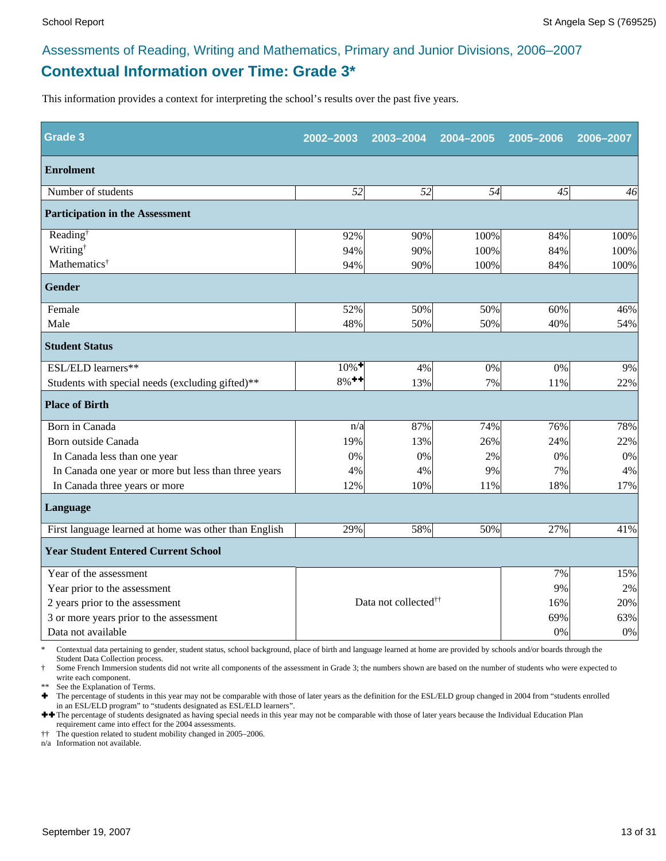### **Contextual Information over Time: Grade 3\*** Assessments of Reading, Writing and Mathematics, Primary and Junior Divisions, 2006–2007

This information provides a context for interpreting the school's results over the past five years.

| Grade 3                                               | 2002-2003           | 2003-2004                        | 2004-2005 | 2005-2006 | 2006-2007 |
|-------------------------------------------------------|---------------------|----------------------------------|-----------|-----------|-----------|
| <b>Enrolment</b>                                      |                     |                                  |           |           |           |
| Number of students                                    | 52                  | 52                               | 54        | 45        | 46        |
| <b>Participation in the Assessment</b>                |                     |                                  |           |           |           |
| Reading <sup>†</sup>                                  | 92%                 | 90%                              | 100%      | 84%       | 100%      |
| Writing <sup>†</sup>                                  | 94%                 | 90%                              | 100%      | 84%       | 100%      |
| Mathematics <sup>†</sup>                              | 94%                 | 90%                              | 100%      | 84%       | 100%      |
| <b>Gender</b>                                         |                     |                                  |           |           |           |
| Female                                                | 52%                 | 50%                              | 50%       | 60%       | 46%       |
| Male                                                  | 48%                 | 50%                              | 50%       | 40%       | 54%       |
| <b>Student Status</b>                                 |                     |                                  |           |           |           |
| ESL/ELD learners**                                    | $10\%$ <sup>+</sup> | 4%                               | 0%        | 0%        | 9%        |
| Students with special needs (excluding gifted)**      | $8%$ <sup>++</sup>  | 13%                              | 7%        | 11%       | 22%       |
| <b>Place of Birth</b>                                 |                     |                                  |           |           |           |
| Born in Canada                                        | n/a                 | 87%                              | 74%       | 76%       | 78%       |
| Born outside Canada                                   | 19%                 | 13%                              | 26%       | 24%       | 22%       |
| In Canada less than one year                          | 0%                  | 0%                               | 2%        | 0%        | 0%        |
| In Canada one year or more but less than three years  | 4%                  | 4%                               | 9%        | 7%        | 4%        |
| In Canada three years or more                         | 12%                 | 10%                              | 11%       | 18%       | 17%       |
| Language                                              |                     |                                  |           |           |           |
| First language learned at home was other than English | 29%                 | 58%                              | 50%       | 27%       | 41%       |
| <b>Year Student Entered Current School</b>            |                     |                                  |           |           |           |
| Year of the assessment                                |                     |                                  |           | 7%        | 15%       |
| Year prior to the assessment                          |                     |                                  | 9%        | 2%        |           |
| 2 years prior to the assessment                       |                     | Data not collected <sup>††</sup> | 16%       | 20%       |           |
| 3 or more years prior to the assessment               |                     |                                  |           | 69%       | 63%       |
| Data not available                                    |                     |                                  |           | 0%        | 0%        |

\* Contextual data pertaining to gender, student status, school background, place of birth and language learned at home are provided by schools and/or boards through the Student Data Collection process.

Some French Immersion students did not write all components of the assessment in Grade 3; the numbers shown are based on the number of students who were expected to write each component.

See the Explanation of Terms.

Ì The percentage of students in this year may not be comparable with those of later years as the definition for the ESL/ELD group changed in 2004 from "students enrolled in an ESL/ELD program" to "students designated as ESL/ELD learners".

++ The percentage of students designated as having special needs in this year may not be comparable with those of later years because the Individual Education Plan requirement came into effect for the 2004 assessments.

†† The question related to student mobility changed in 2005–2006.

n/a Information not available.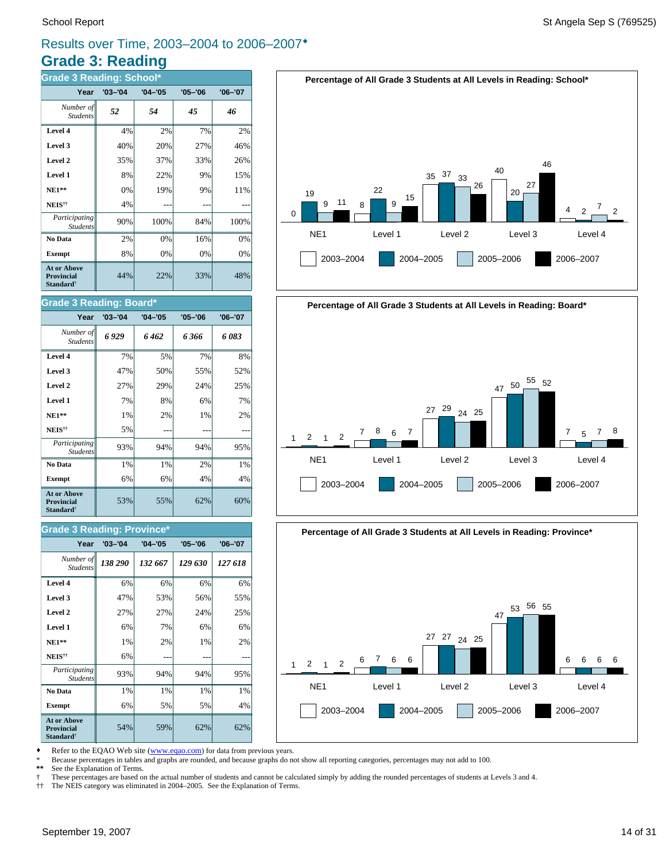## Results over Time, 2003–2004 to 2006–2007<sup>\*</sup>

## **Grade 3: Reading**

| <b>Grade 3 Reading: School*</b>                                  |             |             |             |             |  |  |  |
|------------------------------------------------------------------|-------------|-------------|-------------|-------------|--|--|--|
| Year                                                             | $'03 - '04$ | $'04 - '05$ | $'05 - '06$ | $'06 - '07$ |  |  |  |
| Number of<br><b>Students</b>                                     | 52          | 54          | 45          | 46          |  |  |  |
| Level 4                                                          | 4%          | 2%          | 7%          | 2%          |  |  |  |
| Level 3                                                          | 40%         | 20%         | 27%         | 46%         |  |  |  |
| Level 2                                                          | 35%         | 37%         | 33%         | 26%         |  |  |  |
| Level 1                                                          | 8%          | 22%         | 9%          | 15%         |  |  |  |
| $NE1**$                                                          | 0%          | 19%         | 9%          | 11%         |  |  |  |
| NEIS <sup>††</sup>                                               | 4%          |             |             |             |  |  |  |
| Participating<br><b>Students</b>                                 | 90%         | 100%        | 84%         | 100%        |  |  |  |
| No Data                                                          | 2%          | 0%          | 16%         | 0%          |  |  |  |
| <b>Exempt</b>                                                    | 8%          | 0%          | 0%          | 0%          |  |  |  |
| <b>At or Above</b><br>Provincial<br><b>Standard</b> <sup>†</sup> | 44%         | 22%         | 33%         | 48%         |  |  |  |

#### **Grade 3 Reading: Board\***

| Year                                                                    | $'03 - '04$ | $'04 - '05$ | $'05 - '06$ | $'06 - '07$ |
|-------------------------------------------------------------------------|-------------|-------------|-------------|-------------|
| Number of<br><b>Students</b>                                            | 6929        | 6 462       | 6 366       | 6083        |
| Level 4                                                                 | 7%          | 5%          | 7%          | 8%          |
| Level 3                                                                 | 47%         | 50%         | 55%         | 52%         |
| Level 2                                                                 | 27%         | 29%         | 24%         | 25%         |
| Level 1                                                                 | 7%          | 8%          | 6%          | 7%          |
| $NE1**$                                                                 | 1%          | 2%          | 1%          | 2%          |
| NEIS <sup>††</sup>                                                      | 5%          |             |             |             |
| Participating<br><b>Students</b>                                        | 93%         | 94%         | 94%         | 95%         |
| No Data                                                                 | 1%          | 1%          | 2%          | 1%          |
| <b>Exempt</b>                                                           | 6%          | 6%          | 4%          | 4%          |
| <b>At or Above</b><br><b>Provincial</b><br><b>Standard</b> <sup>†</sup> | 53%         | 55%         | 62%         | 60%         |

#### **Grade 3 Reading: Province\***

| Year                                                                    | $'03 - '04$ | $'04 - '05$ | $'05 - '06$ | $'06 - '07$ |
|-------------------------------------------------------------------------|-------------|-------------|-------------|-------------|
| Number of<br><b>Students</b>                                            | 138 290     | 132 667     | 129 630     | 127 618     |
| Level 4                                                                 | 6%          | 6%          | 6%          | 6%          |
| Level 3                                                                 | 47%         | 53%         | 56%         | 55%         |
| Level 2                                                                 | 27%         | 27%         | 24%         | 25%         |
| Level 1                                                                 | 6%          | 7%          | 6%          | 6%          |
| $NE1**$                                                                 | 1%          | 2%          | 1%          | 2%          |
| NEIS <sup>††</sup>                                                      | 6%          |             |             |             |
| Participating<br><b>Students</b>                                        | 93%         | 94%         | 94%         | 95%         |
| No Data                                                                 | 1%          | 1%          | 1%          | 1%          |
| <b>Exempt</b>                                                           | 6%          | 5%          | 5%          | 4%          |
| <b>At or Above</b><br><b>Provincial</b><br><b>Standard</b> <sup>†</sup> | 54%         | 59%         | 62%         | 62%         |









Refer to the EQAO Web site (www.eqao.com) for data from previous years.

\* Because percentages in tables and graphs are rounded, and because graphs do not show all reporting categories, percentages may not add to 100.

See the Explanation of Terms.

† These percentages are based on the actual number of students and cannot be calculated simply by adding the rounded percentages of students at Levels 3 and 4.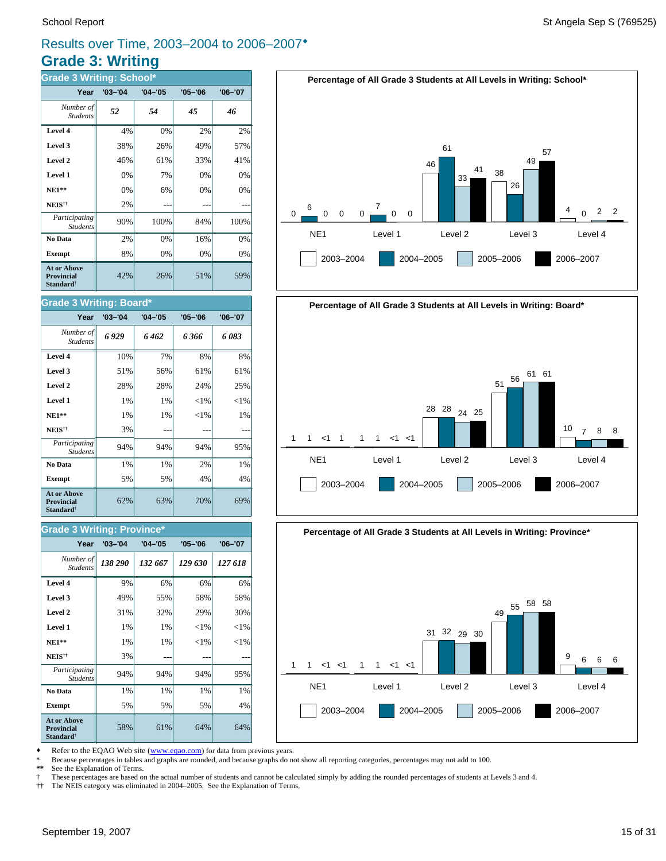### **Grade 3: Writing** Results over Time, 2003–2004 to 2006–2007<sup>\*</sup>

| <b>Grade 3 Writing: School*</b>                                  |             |             |             |             |  |  |  |  |
|------------------------------------------------------------------|-------------|-------------|-------------|-------------|--|--|--|--|
| Year                                                             | $'03 - '04$ | $'04 - '05$ | $'05 - '06$ | $'06 - '07$ |  |  |  |  |
| Number of<br><b>Students</b>                                     | 52          | 54          | 45          | 46          |  |  |  |  |
| Level 4                                                          | 4%          | 0%          | 2%          | 2%          |  |  |  |  |
| Level 3                                                          | 38%         | 26%         | 49%         | 57%         |  |  |  |  |
| Level 2                                                          | 46%         | 61%         | 33%         | 41%         |  |  |  |  |
| Level 1                                                          | 0%          | 7%          | 0%          | 0%          |  |  |  |  |
| $NE1**$                                                          | 0%          | 6%          | 0%          | 0%          |  |  |  |  |
| NEIS <sup>††</sup>                                               | 2%          |             |             |             |  |  |  |  |
| Participating<br><b>Students</b>                                 | 90%         | 100%        | 84%         | 100%        |  |  |  |  |
| No Data                                                          | 2%          | 0%          | 16%         | 0%          |  |  |  |  |
| <b>Exempt</b>                                                    | 8%          | 0%          | 0%          | 0%          |  |  |  |  |
| <b>At or Above</b><br>Provincial<br><b>Standard</b> <sup>†</sup> | 42%         | 26%         | 51%         | 59%         |  |  |  |  |

#### **Grade 3 Writing: Board\***

| Year                                                                    | $'03 - '04$ | $'04 - '05$ | $'05 - '06$ | $'06 - '07$ |
|-------------------------------------------------------------------------|-------------|-------------|-------------|-------------|
| Number of<br><b>Students</b>                                            | 6929        | 6 462       | 6 366       | 6083        |
| Level 4                                                                 | 10%         | 7%          | 8%          | 8%          |
| Level 3                                                                 | 51%         | 56%         | 61%         | 61%         |
| Level 2                                                                 | 28%         | 28%         | 24%         | 25%         |
| Level 1                                                                 | 1%          | 1%          | ${<}1\%$    | ${<}1\%$    |
| $NE1**$                                                                 | 1%          | 1%          | ${<}1\%$    | 1%          |
| NEIS <sup>††</sup>                                                      | 3%          |             |             |             |
| Participating<br><b>Students</b>                                        | 94%         | 94%         | 94%         | 95%         |
| No Data                                                                 | 1%          | 1%          | 2%          | 1%          |
| <b>Exempt</b>                                                           | 5%          | 5%          | 4%          | 4%          |
| <b>At or Above</b><br><b>Provincial</b><br><b>Standard</b> <sup>†</sup> | 62%         | 63%         | 70%         | 69%         |

#### **Grade 3 Writing: Province\***

| Year                                                                    | $'03 - '04$ | $'04 - '05$ | $'05 - '06$ | $'06 - '07$ |
|-------------------------------------------------------------------------|-------------|-------------|-------------|-------------|
| Number of<br><b>Students</b>                                            | 138 290     | 132 667     | 129 630     | 127 618     |
| Level 4                                                                 | 9%          | 6%          | 6%          | 6%          |
| Level 3                                                                 | 49%         | 55%         | 58%         | 58%         |
| Level 2                                                                 | 31%         | 32%         | 29%         | 30%         |
| Level 1                                                                 | 1%          | 1%          | ${<}1\%$    | ${<}1\%$    |
| <b>NE1**</b>                                                            | 1%          | 1%          | $<$ 1%      | ${<}1\%$    |
| NEIS <sup>††</sup>                                                      | 3%          |             |             |             |
| Participating<br><b>Students</b>                                        | 94%         | 94%         | 94%         | 95%         |
| No Data                                                                 | 1%          | 1%          | 1%          | 1%          |
| <b>Exempt</b>                                                           | 5%          | 5%          | 5%          | 4%          |
| <b>At or Above</b><br><b>Provincial</b><br><b>Standard</b> <sup>†</sup> | 58%         | 61%         | 64%         | 64%         |







Refer to the EQAO Web site (www.eqao.com) for data from previous years.

\* Because percentages in tables and graphs are rounded, and because graphs do not show all reporting categories, percentages may not add to 100.

See the Explanation of Terms.

† These percentages are based on the actual number of students and cannot be calculated simply by adding the rounded percentages of students at Levels 3 and 4.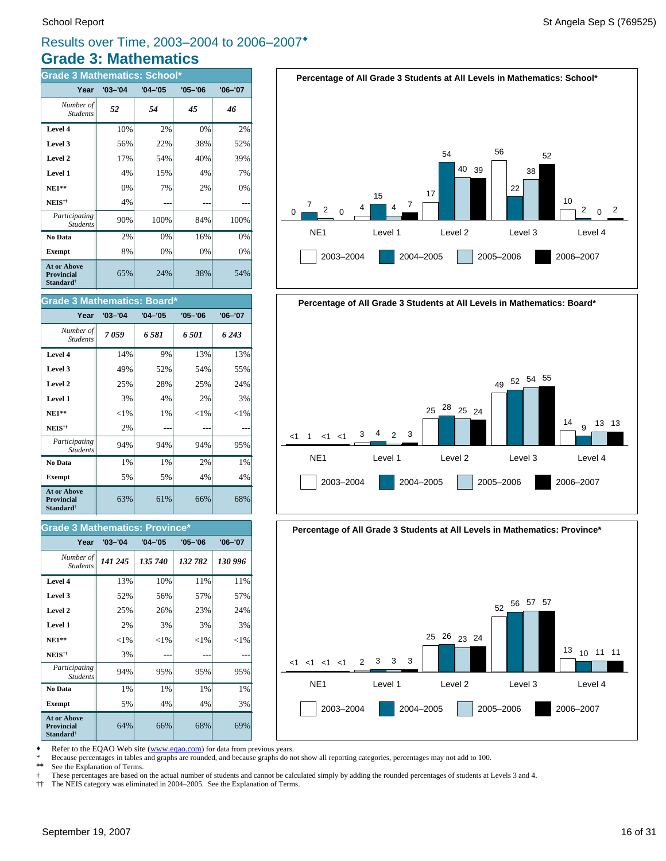### **Grade 3: Mathematics** Results over Time, 2003–2004 to 2006–2007®

| <b>Grade 3 Mathematics: School*</b>                                     |             |             |             |             |  |  |
|-------------------------------------------------------------------------|-------------|-------------|-------------|-------------|--|--|
| Year                                                                    | $'03 - '04$ | $'04 - '05$ | $'05 - '06$ | $'06 - '07$ |  |  |
| Number of<br><b>Students</b>                                            | 52          | 54          | 45          | 46          |  |  |
| Level 4                                                                 | 10%         | 2%          | 0%          | 2%          |  |  |
| Level 3                                                                 | 56%         | 22%         | 38%         | 52%         |  |  |
| Level 2                                                                 | 17%         | 54%         | 40%         | 39%         |  |  |
| Level 1                                                                 | 4%          | 15%         | 4%          | 7%          |  |  |
| <b>NE1**</b>                                                            | 0%          | 7%          | 2%          | 0%          |  |  |
| NEIS <sup>††</sup>                                                      | 4%          |             |             |             |  |  |
| Participating<br><b>Students</b>                                        | 90%         | 100%        | 84%         | 100%        |  |  |
| No Data                                                                 | 2%          | 0%          | 16%         | 0%          |  |  |
| <b>Exempt</b>                                                           | 8%          | 0%          | 0%          | 0%          |  |  |
| <b>At or Above</b><br><b>Provincial</b><br><b>Standard</b> <sup>†</sup> | 65%         | 24%         | 38%         | 54%         |  |  |

#### **Grade 3 Mathematics: Board\***

| Year                                                                    | $'03 - '04$ | $'04 - '05$ | $'05 - '06$ | $'06 - '07$ |
|-------------------------------------------------------------------------|-------------|-------------|-------------|-------------|
| Number of<br><b>Students</b>                                            | 7059        | 6 581       | 6501        | 6 2 4 3     |
| Level 4                                                                 | 14%         | 9%          | 13%         | 13%         |
| Level 3                                                                 | 49%         | 52%         | 54%         | 55%         |
| Level 2                                                                 | 25%         | 28%         | 25%         | 24%         |
| Level 1                                                                 | 3%          | 4%          | 2%          | 3%          |
| $NE1**$                                                                 | ${<}1\%$    | 1%          | ${<}1\%$    | ${<}1\%$    |
| NEIS <sup>††</sup>                                                      | 2%          |             |             |             |
| Participating<br><b>Students</b>                                        | 94%         | 94%         | 94%         | 95%         |
| No Data                                                                 | 1%          | 1%          | 2%          | 1%          |
| <b>Exempt</b>                                                           | 5%          | 5%          | 4%          | 4%          |
| <b>At or Above</b><br><b>Provincial</b><br><b>Standard</b> <sup>†</sup> | 63%         | 61%         | 66%         | 68%         |

### **Year '03–'04 '04–'05 '05–'06 '06–'07 Grade 3 Mathematics: Province**

| Number of   <br><b>Students</b>                                  | 141 245  | 135 740  | 132 782 | 130 996  |
|------------------------------------------------------------------|----------|----------|---------|----------|
| Level 4                                                          | 13%      | 10%      | 11%     | 11%      |
| Level 3                                                          | 52%      | 56%      | 57%     | 57%      |
| Level 2                                                          | 25%      | 26%      | 23%     | 24%      |
| Level 1                                                          | 2%       | 3%       | 3%      | 3%       |
| $NE1**$                                                          | ${<}1\%$ | ${<}1\%$ | ${<}1%$ | ${<}1\%$ |
| NEIS <sup>††</sup>                                               | 3%       |          |         |          |
| Participating<br><b>Students</b>                                 | 94%      | 95%      | 95%     | 95%      |
| No Data                                                          | 1%       | 1%       | 1%      | 1%       |
| <b>Exempt</b>                                                    | 5%       | 4%       | 4%      | 3%       |
| At or Above<br><b>Provincial</b><br><b>Standard</b> <sup>†</sup> | 64%      | 66%      | 68%     | 69%      |











Refer to the EQAO Web site (www.eqao.com) for data from previous years.

\* Because percentages in tables and graphs are rounded, and because graphs do not show all reporting categories, percentages may not add to 100.

See the Explanation of Terms.

† These percentages are based on the actual number of students and cannot be calculated simply by adding the rounded percentages of students at Levels 3 and 4.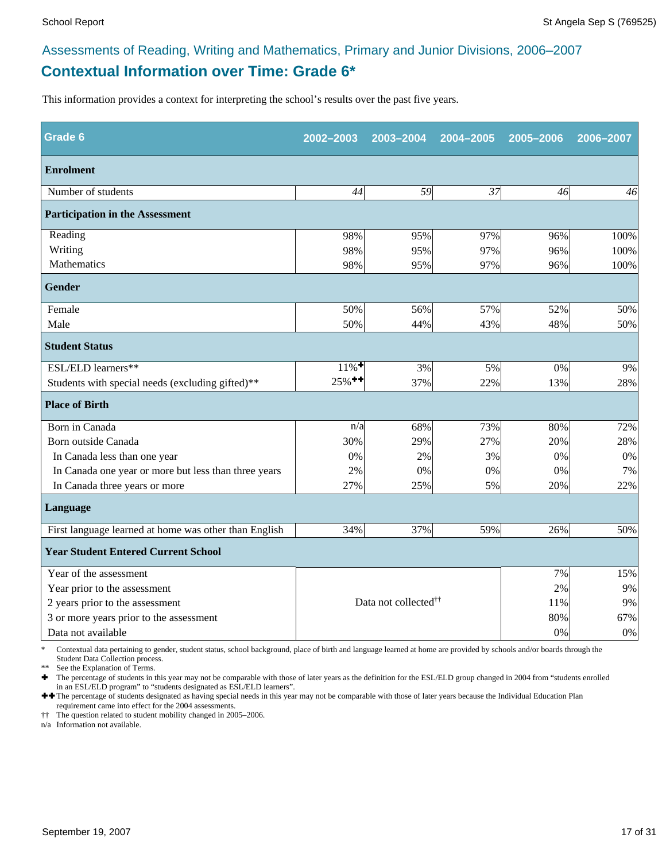### **Contextual Information over Time: Grade 6\*** Assessments of Reading, Writing and Mathematics, Primary and Junior Divisions, 2006–2007

This information provides a context for interpreting the school's results over the past five years.

| <b>Grade 6</b>                                        | 2002-2003                               | 2003-2004 | 2004-2005 | 2005-2006 | 2006-2007 |
|-------------------------------------------------------|-----------------------------------------|-----------|-----------|-----------|-----------|
| <b>Enrolment</b>                                      |                                         |           |           |           |           |
| Number of students                                    | 44                                      | 59        | 37        | 46        | 46        |
| <b>Participation in the Assessment</b>                |                                         |           |           |           |           |
| Reading                                               | 98%                                     | 95%       | 97%       | 96%       | 100%      |
| Writing                                               | 98%                                     | 95%       | 97%       | 96%       | 100%      |
| Mathematics                                           | 98%                                     | 95%       | 97%       | 96%       | 100%      |
| <b>Gender</b>                                         |                                         |           |           |           |           |
| Female                                                | 50%                                     | 56%       | 57%       | 52%       | 50%       |
| Male                                                  | 50%                                     | 44%       | 43%       | 48%       | 50%       |
| <b>Student Status</b>                                 |                                         |           |           |           |           |
| ESL/ELD learners**                                    | $11\%$ <sup>+</sup>                     | 3%        | 5%        | $0\%$     | 9%        |
| Students with special needs (excluding gifted)**      | $25\%$ <sup>++</sup>                    | 37%       | 22%       | 13%       | 28%       |
| <b>Place of Birth</b>                                 |                                         |           |           |           |           |
| Born in Canada                                        | n/a                                     | 68%       | 73%       | 80%       | 72%       |
| Born outside Canada                                   | 30%                                     | 29%       | 27%       | 20%       | 28%       |
| In Canada less than one year                          | 0%                                      | 2%        | 3%        | 0%        | 0%        |
| In Canada one year or more but less than three years  | 2%                                      | 0%        | 0%        | 0%        | 7%        |
| In Canada three years or more                         | 27%                                     | 25%       | 5%        | 20%       | 22%       |
| Language                                              |                                         |           |           |           |           |
| First language learned at home was other than English | 34%                                     | 37%       | 59%       | 26%       | 50%       |
| <b>Year Student Entered Current School</b>            |                                         |           |           |           |           |
| Year of the assessment                                |                                         |           |           | 7%        | 15%       |
| Year prior to the assessment                          |                                         |           |           | 2%        | 9%        |
| 2 years prior to the assessment                       | Data not collected <sup>††</sup><br>11% |           |           |           | 9%        |
| 3 or more years prior to the assessment               |                                         |           |           | 80%       | 67%       |
| Data not available                                    |                                         |           |           | 0%        | $0\%$     |

\* Contextual data pertaining to gender, student status, school background, place of birth and language learned at home are provided by schools and/or boards through the Student Data Collection process.

\*\* See the Explanation of Terms.<br> $\bullet$  The percentage of students in t

Ì The percentage of students in this year may not be comparable with those of later years as the definition for the ESL/ELD group changed in 2004 from "students enrolled in an ESL/ELD program" to "students designated as ESL/ELD learners".

++ The percentage of students designated as having special needs in this year may not be comparable with those of later years because the Individual Education Plan requirement came into effect for the 2004 assessments.

†† The question related to student mobility changed in 2005–2006.

n/a Information not available.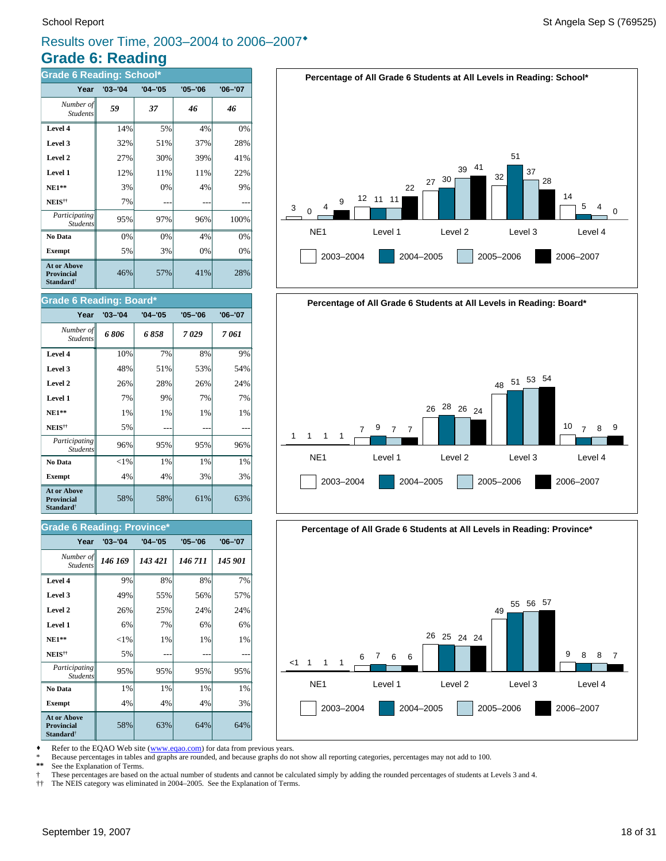### **Grade 6: Reading** Results over Time, 2003–2004 to 2006–2007<sup>\*</sup>

| <b>Grade 6 Reading: School*</b>                                  |             |             |             |             |  |  |
|------------------------------------------------------------------|-------------|-------------|-------------|-------------|--|--|
| Year                                                             | $'03 - '04$ | $'04 - '05$ | $'05 - '06$ | $'06 - '07$ |  |  |
| Number of<br><b>Students</b>                                     | 59          | 37          | 46          | 46          |  |  |
| Level 4                                                          | 14%         | 5%          | 4%          | 0%          |  |  |
| Level 3                                                          | 32%         | 51%         | 37%         | 28%         |  |  |
| Level 2                                                          | 27%         | 30%         | 39%         | 41%         |  |  |
| Level 1                                                          | 12%         | 11%         | 11%         | 22%         |  |  |
| $NE1**$                                                          | 3%          | 0%          | 4%          | 9%          |  |  |
| NEIS <sup>††</sup>                                               | 7%          |             |             |             |  |  |
| Participating<br><b>Students</b>                                 | 95%         | 97%         | 96%         | 100%        |  |  |
| No Data                                                          | 0%          | 0%          | 4%          | 0%          |  |  |
| <b>Exempt</b>                                                    | 5%          | 3%          | 0%          | 0%          |  |  |
| <b>At or Above</b><br>Provincial<br><b>Standard</b> <sup>†</sup> | 46%         | 57%         | 41%         | 28%         |  |  |

#### **Grade 6 Reading: Board\***

| Year                                                                    | $'03 - '04$ | $'04 - '05$ | $'05 - '06$ | $'06 - '07$ |
|-------------------------------------------------------------------------|-------------|-------------|-------------|-------------|
| Number of<br><b>Students</b>                                            | 6806        | 6858        | 7029        | 7 061       |
| Level 4                                                                 | 10%         | 7%          | 8%          | 9%          |
| Level 3                                                                 | 48%         | 51%         | 53%         | 54%         |
| Level 2                                                                 | 26%         | 28%         | 26%         | 24%         |
| Level 1                                                                 | 7%          | 9%          | 7%          | 7%          |
| $NE1**$                                                                 | 1%          | 1%          | 1%          | 1%          |
| NEIS <sup>††</sup>                                                      | 5%          |             |             |             |
| Participating<br><b>Students</b>                                        | 96%         | 95%         | 95%         | 96%         |
| No Data                                                                 | ${<}1\%$    | 1%          | 1%          | 1%          |
| <b>Exempt</b>                                                           | 4%          | 4%          | 3%          | 3%          |
| <b>At or Above</b><br><b>Provincial</b><br><b>Standard</b> <sup>†</sup> | 58%         | 58%         | 61%         | 63%         |

#### **Grade 6 Reading: Province\***

| Year                                                                    | $'03 - '04$ | $'04 - '05$ | $'05 - '06$ | $'06 - '07$ |
|-------------------------------------------------------------------------|-------------|-------------|-------------|-------------|
| Number of<br><b>Students</b>                                            | 146 169     | 143 421     | 146 711     | 145 901     |
| Level 4                                                                 | 9%          | 8%          | 8%          | 7%          |
| Level 3                                                                 | 49%         | 55%         | 56%         | 57%         |
| Level 2                                                                 | 26%         | 25%         | 24%         | 24%         |
| Level 1                                                                 | 6%          | 7%          | 6%          | 6%          |
| $NE1**$                                                                 | $<$ 1%      | 1%          | 1%          | 1%          |
| NEIS <sup>††</sup>                                                      | 5%          |             |             |             |
| Participating<br><b>Students</b>                                        | 95%         | 95%         | 95%         | 95%         |
| No Data                                                                 | 1%          | 1%          | 1%          | 1%          |
| <b>Exempt</b>                                                           | 4%          | 4%          | 4%          | 3%          |
| <b>At or Above</b><br><b>Provincial</b><br><b>Standard</b> <sup>†</sup> | 58%         | 63%         | 64%         | 64%         |







Refer to the EQAO Web site (www.eqao.com) for data from previous years.

\* Because percentages in tables and graphs are rounded, and because graphs do not show all reporting categories, percentages may not add to 100.

See the Explanation of Terms.

† These percentages are based on the actual number of students and cannot be calculated simply by adding the rounded percentages of students at Levels 3 and 4.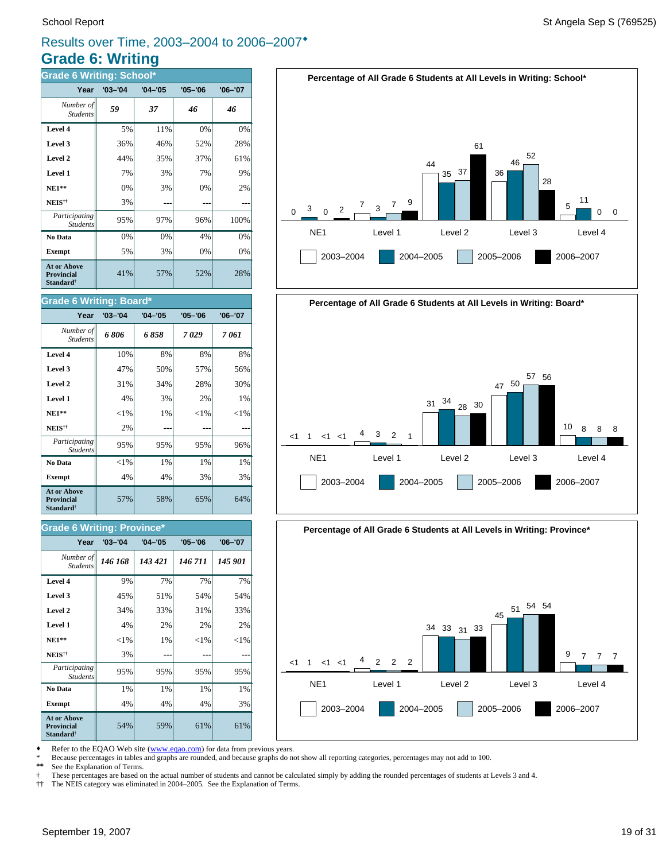### **Grade 6: Writing** Results over Time, 2003–2004 to 2006–2007®

| <b>Grade 6 Writing: School*</b>                                         |             |             |             |             |  |  |
|-------------------------------------------------------------------------|-------------|-------------|-------------|-------------|--|--|
| Year                                                                    | $'03 - '04$ | $'04 - '05$ | $'05 - '06$ | $'06 - '07$ |  |  |
| Number of<br><b>Students</b>                                            | 59          | 37          | 46          | 46          |  |  |
| Level 4                                                                 | 5%          | 11%         | 0%          | 0%          |  |  |
| Level 3                                                                 | 36%         | 46%         | 52%         | 28%         |  |  |
| Level 2                                                                 | 44%         | 35%         | 37%         | 61%         |  |  |
| Level 1                                                                 | 7%          | 3%          | 7%          | 9%          |  |  |
| $NE1**$                                                                 | 0%          | 3%          | 0%          | 2%          |  |  |
| NEIS <sup>††</sup>                                                      | 3%          |             |             |             |  |  |
| Participating<br><b>Students</b>                                        | 95%         | 97%         | 96%         | 100%        |  |  |
| No Data                                                                 | 0%          | 0%          | 4%          | 0%          |  |  |
| <b>Exempt</b>                                                           | 5%          | 3%          | 0%          | 0%          |  |  |
| <b>At or Above</b><br><b>Provincial</b><br><b>Standard</b> <sup>†</sup> | 41%         | 57%         | 52%         | 28%         |  |  |

#### **Grade 6 Writing: Board\***

| Year                                                                    | $'03 - '04$ | $'04 - '05$ | $'05 - '06$ | $'06 - '07$ |
|-------------------------------------------------------------------------|-------------|-------------|-------------|-------------|
| Number of<br><b>Students</b>                                            | 6806        | 6858        | 7029        | 7 061       |
| Level 4                                                                 | 10%         | 8%          | 8%          | 8%          |
| Level 3                                                                 | 47%         | 50%         | 57%         | 56%         |
| Level 2                                                                 | 31%         | 34%         | 28%         | 30%         |
| Level 1                                                                 | 4%          | 3%          | 2%          | 1%          |
| $NE1**$                                                                 | ${<}1\%$    | 1%          | ${<}1\%$    | ${<}1%$     |
| NEIS <sup>††</sup>                                                      | 2%          |             |             |             |
| Participating<br><b>Students</b>                                        | 95%         | 95%         | 95%         | 96%         |
| No Data                                                                 | ${<}1\%$    | $1\%$       | $1\%$       | 1%          |
| <b>Exempt</b>                                                           | 4%          | 4%          | 3%          | 3%          |
| <b>At or Above</b><br><b>Provincial</b><br><b>Standard</b> <sup>†</sup> | 57%         | 58%         | 65%         | 64%         |

#### **Grade 6 Writing: Province\***

| Year                                                             | $'03 - '04$ | $'04 - '05$ | $'05 - '06$ | $'06 - '07$ |
|------------------------------------------------------------------|-------------|-------------|-------------|-------------|
| Number of<br><b>Students</b>                                     | 146 168     | 143 421     | 146 711     | 145 901     |
| Level 4                                                          | 9%          | 7%          | 7%          | 7%          |
| Level 3                                                          | 45%         | 51%         | 54%         | 54%         |
| Level 2                                                          | 34%         | 33%         | 31%         | 33%         |
| Level 1                                                          | 4%          | 2%          | 2%          | 2%          |
| $NE1**$                                                          | ${<}1\%$    | 1%          | ${<}1%$     | ${<}1\%$    |
| NEIS <sup>††</sup>                                               | 3%          |             |             |             |
| Participating<br><b>Students</b>                                 | 95%         | 95%         | 95%         | 95%         |
| No Data                                                          | 1%          | 1%          | 1%          | 1%          |
| <b>Exempt</b>                                                    | 4%          | 4%          | 4%          | 3%          |
| <b>At or Above</b><br>Provincial<br><b>Standard</b> <sup>†</sup> | 54%         | 59%         | 61%         | 61%         |







Refer to the EQAO Web site (www.eqao.com) for data from previous years.

\* Because percentages in tables and graphs are rounded, and because graphs do not show all reporting categories, percentages may not add to 100.

See the Explanation of Terms.

† These percentages are based on the actual number of students and cannot be calculated simply by adding the rounded percentages of students at Levels 3 and 4.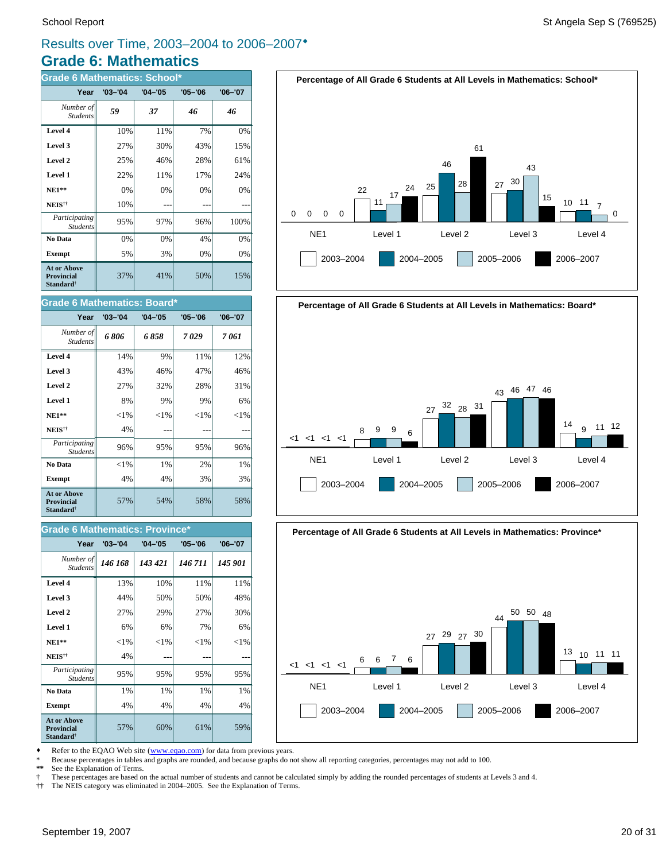### **Grade 6: Mathematics** Results over Time, 2003–2004 to 2006–2007<sup>\*</sup>

| <b>Grade 6 Mathematics: School*</b>                                     |             |             |             |             |  |  |  |  |  |
|-------------------------------------------------------------------------|-------------|-------------|-------------|-------------|--|--|--|--|--|
| Year                                                                    | $'03 - '04$ | $'04 - '05$ | $'05 - '06$ | $'06 - '07$ |  |  |  |  |  |
| Number of<br><b>Students</b>                                            | 59          | 37          | 46          | 46          |  |  |  |  |  |
| Level 4                                                                 | 10%         | 11%         | 7%          | 0%          |  |  |  |  |  |
| Level 3                                                                 | 27%         | 30%         | 43%         | 15%         |  |  |  |  |  |
| Level 2                                                                 | 25%         | 46%         | 28%         | 61%         |  |  |  |  |  |
| Level 1                                                                 | 22%         | 11%         | 17%         | 24%         |  |  |  |  |  |
| <b>NE1**</b>                                                            | 0%          | 0%          | 0%          | 0%          |  |  |  |  |  |
| NEIS <sup>††</sup>                                                      | 10%         |             |             |             |  |  |  |  |  |
| Participating<br><b>Students</b>                                        | 95%         | 97%         | 96%         | 100%        |  |  |  |  |  |
| No Data                                                                 | 0%          | 0%          | 4%          | 0%          |  |  |  |  |  |
| <b>Exempt</b>                                                           | 5%          | 3%          | 0%          | 0%          |  |  |  |  |  |
| <b>At or Above</b><br><b>Provincial</b><br><b>Standard</b> <sup>†</sup> | 37%         | 41%         | 50%         | 15%         |  |  |  |  |  |

#### **Grade 6 Mathematics: Board\***

| Year                                                                    | $'03 - '04$ | $'04 - '05$ | $'05 - '06$ | $'06 - '07$ |
|-------------------------------------------------------------------------|-------------|-------------|-------------|-------------|
| Number of<br><b>Students</b>                                            | 6806        | 6 858       | 7029        | 7 061       |
| Level 4                                                                 | 14%         | 9%          | 11%         | 12%         |
| Level 3                                                                 | 43%         | 46%         | 47%         | 46%         |
| Level 2                                                                 | 27%         | 32%         | 28%         | 31%         |
| Level 1                                                                 | 8%          | 9%          | 9%          | 6%          |
| $NE1**$                                                                 | ${<}1\%$    | ${<}1\%$    | ${<}1\%$    | ${<}1\%$    |
| NEIS <sup>††</sup>                                                      | 4%          |             |             |             |
| Participating<br><b>Students</b>                                        | 96%         | 95%         | 95%         | 96%         |
| No Data                                                                 | ${<}1\%$    | 1%          | 2%          | 1%          |
| <b>Exempt</b>                                                           | 4%          | 4%          | 3%          | 3%          |
| <b>At or Above</b><br><b>Provincial</b><br><b>Standard</b> <sup>†</sup> | 57%         | 54%         | 58%         | 58%         |

#### **Grade 6 Mathematics: Province\***

| Year                                                                    | $'03 - '04$ | $'04 - '05$ | $'05 - '06$ | $'06 - '07$ |
|-------------------------------------------------------------------------|-------------|-------------|-------------|-------------|
| Number of<br><b>Students</b>                                            | 146 168     | 143 421     | 146 711     | 145 901     |
| Level 4                                                                 | 13%         | 10%         | 11%         | 11%         |
| Level 3                                                                 | 44%         | 50%         | 50%         | 48%         |
| Level 2                                                                 | 27%         | 29%         | 27%         | 30%         |
| Level 1                                                                 | 6%          | 6%          | 7%          | 6%          |
| $NE1**$                                                                 | $<$ 1%      | ${<}1\%$    | ${<}1\%$    | ${<}1\%$    |
| NEIS <sup>††</sup>                                                      | 4%          |             |             |             |
| Participating<br><b>Students</b>                                        | 95%         | 95%         | 95%         | 95%         |
| No Data                                                                 | 1%          | 1%          | 1%          | 1%          |
| <b>Exempt</b>                                                           | 4%          | 4%          | 4%          | 4%          |
| <b>At or Above</b><br><b>Provincial</b><br><b>Standard</b> <sup>†</sup> | 57%         | 60%         | 61%         | 59%         |





**Percentage of All Grade 6 Students at All Levels in Mathematics: Province\***



Refer to the EQAO Web site (www.eqao.com) for data from previous years.

\* Because percentages in tables and graphs are rounded, and because graphs do not show all reporting categories, percentages may not add to 100.

See the Explanation of Terms.

† These percentages are based on the actual number of students and cannot be calculated simply by adding the rounded percentages of students at Levels 3 and 4.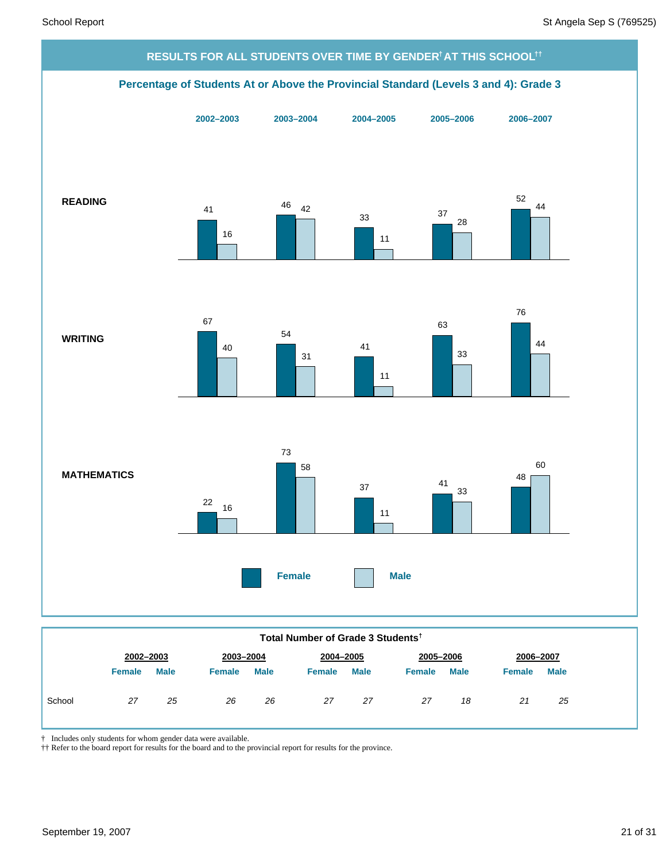

| Total Number of Grade 3 Students <sup>†</sup> |               |             |               |             |               |             |               |             |               |             |
|-----------------------------------------------|---------------|-------------|---------------|-------------|---------------|-------------|---------------|-------------|---------------|-------------|
|                                               | 2002-2003     |             | 2003-2004     |             |               | 2004-2005   |               | 2005-2006   |               | 2006-2007   |
|                                               | <b>Female</b> | <b>Male</b> | <b>Female</b> | <b>Male</b> | <b>Female</b> | <b>Male</b> | <b>Female</b> | <b>Male</b> | <b>Female</b> | <b>Male</b> |
| School                                        | 27            | 25          | 26            | 26          | 27            | 27          | 27            | 18          | 21            | 25          |

† Includes only students for whom gender data were available.

†† Refer to the board report for results for the board and to the provincial report for results for the province.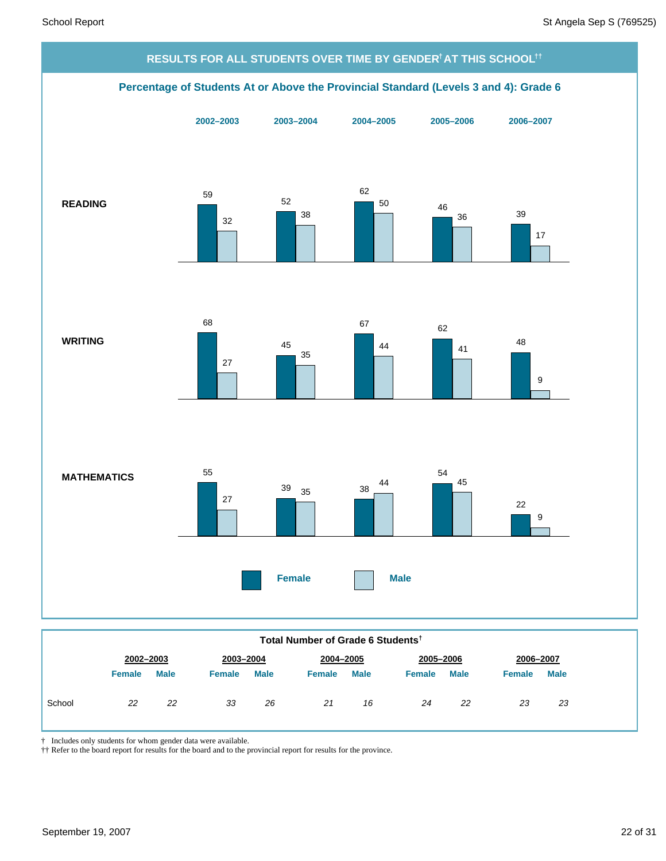

|  |  | Total Number of Grade 6 Students <sup>t</sup> |
|--|--|-----------------------------------------------|
|  |  |                                               |

|        | 2002-2003     |             | 2003-2004     |             | 2004-2005     |             | 2005-2006     |             |               | 2006-2007   |  |
|--------|---------------|-------------|---------------|-------------|---------------|-------------|---------------|-------------|---------------|-------------|--|
|        | <b>Female</b> | <b>Male</b> | <b>Female</b> | <b>Male</b> | <b>Female</b> | <b>Male</b> | <b>Female</b> | <b>Male</b> | <b>Female</b> | <b>Male</b> |  |
| School | 22            | 22          | 33            | 26          | 21            | 16          | 24            | 22          | 23            | 23          |  |

† Includes only students for whom gender data were available.

†† Refer to the board report for results for the board and to the provincial report for results for the province.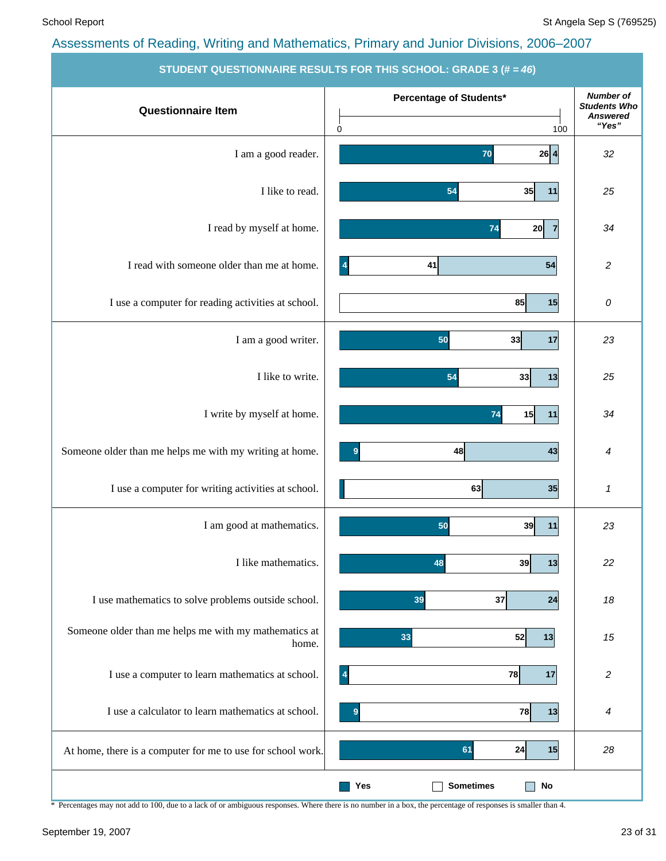|                                                                | STUDENT QUESTIONNAIRE RESULTS FOR THIS SCHOOL: GRADE 3 (# = 40) |                                                                     |
|----------------------------------------------------------------|-----------------------------------------------------------------|---------------------------------------------------------------------|
| <b>Questionnaire Item</b>                                      | Percentage of Students*                                         | <b>Number of</b><br><b>Students Who</b><br><b>Answered</b><br>"Yes" |
|                                                                | 0<br>100                                                        |                                                                     |
| I am a good reader.                                            | $26 \mid 4$<br>70                                               | 32                                                                  |
| I like to read.                                                | 54<br>35<br>11                                                  | 25                                                                  |
| I read by myself at home.                                      | 74<br>20<br>$\overline{7}$                                      | 34                                                                  |
| I read with someone older than me at home.                     | 41<br>54<br>$\vert 4$                                           | $\overline{c}$                                                      |
| I use a computer for reading activities at school.             | 85<br>15                                                        | 0                                                                   |
| I am a good writer.                                            | 50<br>33<br>17                                                  | 23                                                                  |
| I like to write.                                               | 54<br>33<br>13                                                  | 25                                                                  |
| I write by myself at home.                                     | 15<br>74<br>11                                                  | 34                                                                  |
| Someone older than me helps me with my writing at home.        | 48<br>43<br>9                                                   | 4                                                                   |
| I use a computer for writing activities at school.             | 63<br>35                                                        | 1                                                                   |
| I am good at mathematics.                                      | 50<br>39<br>11                                                  | 23                                                                  |
| I like mathematics.                                            | 48<br>39<br> 13                                                 | 22                                                                  |
| I use mathematics to solve problems outside school.            | 37<br>39<br>24                                                  | 18                                                                  |
| Someone older than me helps me with my mathematics at<br>home. | 33<br>52<br>13                                                  | 15                                                                  |
| I use a computer to learn mathematics at school.               | 78<br>17<br>$\overline{\mathbf{4}}$                             | $\overline{\mathbf{c}}$                                             |
| I use a calculator to learn mathematics at school.             | 78<br> 13 <br>9                                                 | 4                                                                   |
| At home, there is a computer for me to use for school work.    | 24<br>61<br>15                                                  | 28                                                                  |
|                                                                | <b>Sometimes</b><br>$\mathop{\sf No}\nolimits$<br>Yes           |                                                                     |

**STUDENT QUESTIONNAIRE RESULTS FOR THIS SCHOOL: GRADE 3 (# =** *46***)**

\* Percentages may not add to 100, due to a lack of or ambiguous responses. Where there is no number in a box, the percentage of responses is smaller than 4.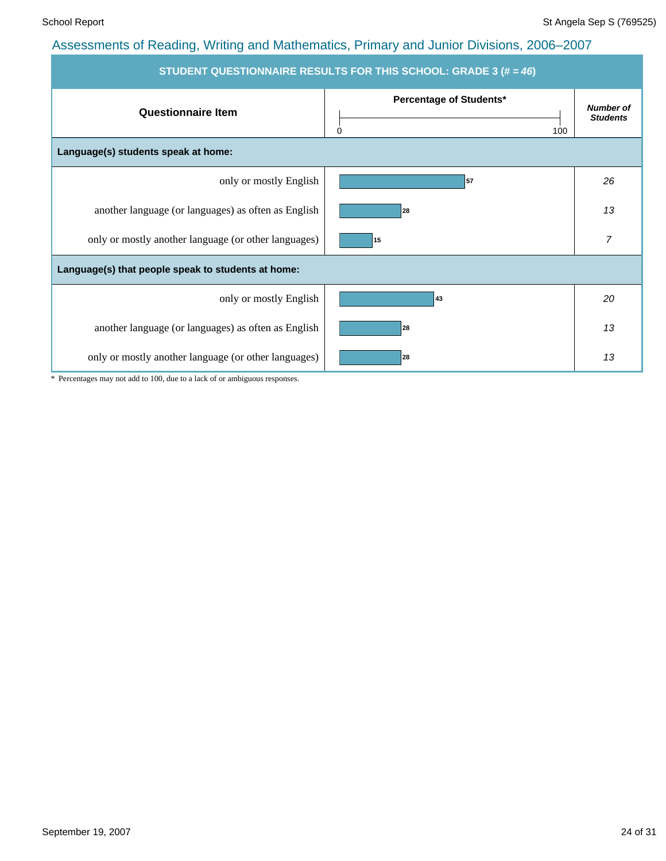| STUDENT QUESTIONNAIRE RESULTS FOR THIS SCHOOL: GRADE 3 (# = 46) |                                            |                                     |  |  |  |  |  |  |
|-----------------------------------------------------------------|--------------------------------------------|-------------------------------------|--|--|--|--|--|--|
| <b>Questionnaire Item</b>                                       | Percentage of Students*<br>$\Omega$<br>100 | <b>Number of</b><br><b>Students</b> |  |  |  |  |  |  |
| Language(s) students speak at home:                             |                                            |                                     |  |  |  |  |  |  |
| only or mostly English                                          | 57                                         | 26                                  |  |  |  |  |  |  |
| another language (or languages) as often as English             | 28                                         | 13                                  |  |  |  |  |  |  |
| only or mostly another language (or other languages)            | 15                                         | 7                                   |  |  |  |  |  |  |
| Language(s) that people speak to students at home:              |                                            |                                     |  |  |  |  |  |  |
| only or mostly English                                          | 43                                         | 20                                  |  |  |  |  |  |  |
| another language (or languages) as often as English             | 28                                         | 13                                  |  |  |  |  |  |  |
| only or mostly another language (or other languages)            | 28                                         | 13                                  |  |  |  |  |  |  |

\* Percentages may not add to 100, due to a lack of or ambiguous responses.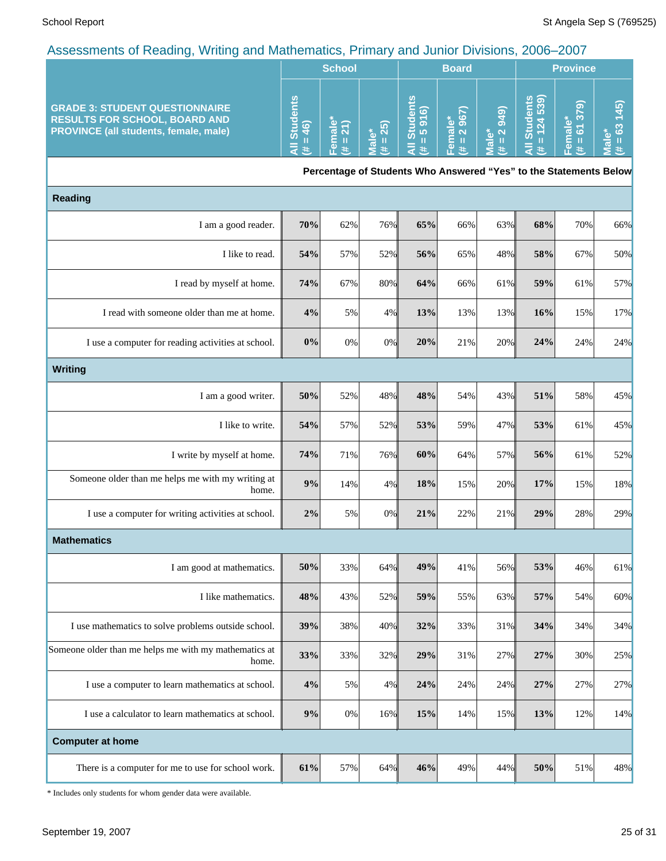|                                                                                                                               | <b>School</b>                                    |        |                                     | <b>Board</b>                     |                                                         |                                                                    | <b>Province</b> |                     |   |
|-------------------------------------------------------------------------------------------------------------------------------|--------------------------------------------------|--------|-------------------------------------|----------------------------------|---------------------------------------------------------|--------------------------------------------------------------------|-----------------|---------------------|---|
| <b>GRADE 3: STUDENT QUESTIONNAIRE</b><br><b>RESULTS FOR SCHOOL, BOARD AND</b><br><b>PROVINCE (all students, female, male)</b> | ⊻<br>$\overline{\mathbf{a}}$<br>$\epsilon$<br>رم | Φ<br>ത | <b>N</b><br>$\overline{\mathbf{c}}$ | ℒ<br>'වි ම<br>о<br>61<br>あ<br>10 | tσ<br>$\omega$ $\Omega$<br>$\overline{a}$ $\alpha$<br>ø | <u>ේ</u><br>$\ddot{\mathbf{o}}$<br>$\sim$<br>$\boldsymbol{\sigma}$ |                 | ெ<br>$\infty$<br>кo | ര |

**Percentage of Students Who Answered "Yes" to the Statements Below**

| <b>Reading</b>                                                 |       |       |       |     |     |     |     |     |     |
|----------------------------------------------------------------|-------|-------|-------|-----|-----|-----|-----|-----|-----|
| I am a good reader.                                            | 70%   | 62%   | 76%   | 65% | 66% | 63% | 68% | 70% | 66% |
| I like to read.                                                | 54%   | 57%   | 52%   | 56% | 65% | 48% | 58% | 67% | 50% |
| I read by myself at home.                                      | 74%   | 67%   | 80%   | 64% | 66% | 61% | 59% | 61% | 57% |
| I read with someone older than me at home.                     | 4%    | 5%    | $4\%$ | 13% | 13% | 13% | 16% | 15% | 17% |
| I use a computer for reading activities at school.             | 0%    | 0%    | 0%    | 20% | 21% | 20% | 24% | 24% | 24% |
| <b>Writing</b>                                                 |       |       |       |     |     |     |     |     |     |
| I am a good writer.                                            | 50%   | 52%   | 48%   | 48% | 54% | 43% | 51% | 58% | 45% |
| I like to write.                                               | 54%   | 57%   | 52%   | 53% | 59% | 47% | 53% | 61% | 45% |
| I write by myself at home.                                     | 74%   | 71%   | 76%   | 60% | 64% | 57% | 56% | 61% | 52% |
| Someone older than me helps me with my writing at<br>home.     | 9%    | 14%   | 4%    | 18% | 15% | 20% | 17% | 15% | 18% |
| I use a computer for writing activities at school.             | 2%    | 5%    | 0%    | 21% | 22% | 21% | 29% | 28% | 29% |
| <b>Mathematics</b>                                             |       |       |       |     |     |     |     |     |     |
| I am good at mathematics.                                      | 50%   | 33%   | 64%   | 49% | 41% | 56% | 53% | 46% | 61% |
| I like mathematics.                                            | 48%   | 43%   | 52%   | 59% | 55% | 63% | 57% | 54% | 60% |
| I use mathematics to solve problems outside school.            | 39%   | 38%   | 40%   | 32% | 33% | 31% | 34% | 34% | 34% |
| Someone older than me helps me with my mathematics at<br>home. | 33%   | 33%   | 32%   | 29% | 31% | 27% | 27% | 30% | 25% |
| I use a computer to learn mathematics at school.               | 4%    | 5%    | 4%    | 24% | 24% | 24% | 27% | 27% | 27% |
| I use a calculator to learn mathematics at school.             | $9\%$ | $0\%$ | 16%   | 15% | 14% | 15% | 13% | 12% | 14% |
| <b>Computer at home</b>                                        |       |       |       |     |     |     |     |     |     |
| There is a computer for me to use for school work.             | 61%   | 57%   | 64%   | 46% | 49% | 44% | 50% | 51% | 48% |

\* Includes only students for whom gender data were available.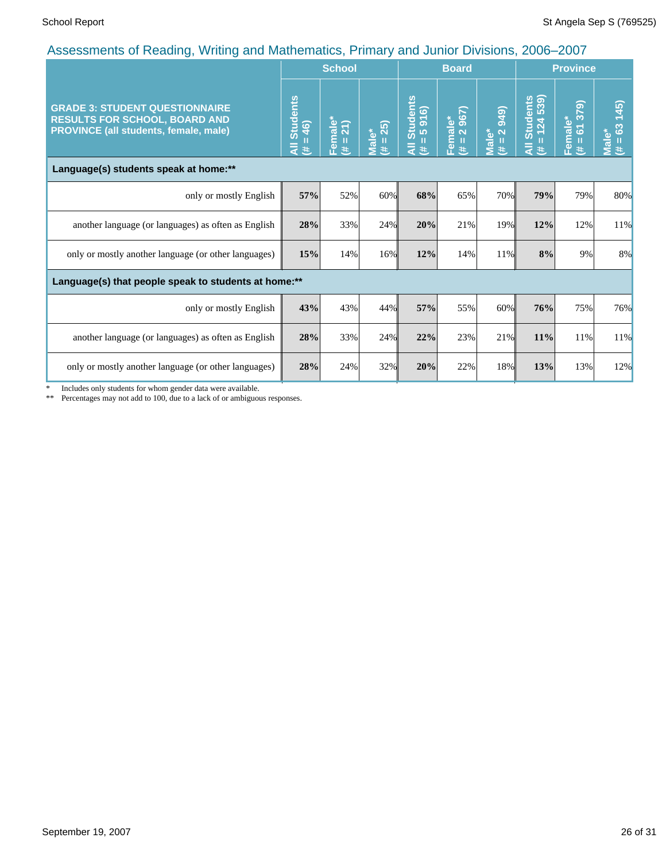| $\overline{a}$ to coordinate of troduing, thrilling and mathematics, it initially and cannot bitterflow, 2000, 2001    |                                      | <b>School</b>       |                   |                                                                                             | <b>Board</b>           |                                                                           | <b>Province</b>                       |                               |                                           |
|------------------------------------------------------------------------------------------------------------------------|--------------------------------------|---------------------|-------------------|---------------------------------------------------------------------------------------------|------------------------|---------------------------------------------------------------------------|---------------------------------------|-------------------------------|-------------------------------------------|
| <b>GRADE 3: STUDENT QUESTIONNAIRE</b><br><b>RESULTS FOR SCHOOL, BOARD AND</b><br>PROVINCE (all students, female, male) | <b>Students</b><br>$= 46$<br>₹<br>y. | Female*<br>(# = 21) | Male*<br>(# = 25) | $\begin{array}{c}\n\text{Students} \\ = 5 \text{ } 916\n\end{array}$<br>п<br>$\bar{a}$<br>违 | Female*<br>(# = 2 967) | 949)<br>$\overline{\mathbf{N}}$<br><b>Male*</b><br>$\mathbf{H}$<br>$\ast$ | Students<br>= 124 539)<br>П<br>₹<br>违 | 379)<br>Female*<br>(# = 61 3; | (45)<br>$\mathbf{c}^3$<br>Male*<br>Ш<br>违 |
| Language(s) students speak at home:**                                                                                  |                                      |                     |                   |                                                                                             |                        |                                                                           |                                       |                               |                                           |
| only or mostly English                                                                                                 | 57%                                  | 52%                 | 60%               | 68%                                                                                         | 65%                    | 70%                                                                       | 79%                                   | 79%                           | 80%                                       |
| another language (or languages) as often as English                                                                    | 28%                                  | 33%                 | 24%               | 20%                                                                                         | 21%                    | 19%                                                                       | 12%                                   | 12%                           | 11%                                       |
| only or mostly another language (or other languages)                                                                   | 15%                                  | 14%                 | 16%               | 12%                                                                                         | 14%                    | 11%                                                                       | 8%                                    | 9%                            | 8%                                        |
| Language(s) that people speak to students at home:**                                                                   |                                      |                     |                   |                                                                                             |                        |                                                                           |                                       |                               |                                           |
| only or mostly English                                                                                                 | 43%                                  | 43%                 | 44%               | 57%                                                                                         | 55%                    | 60%                                                                       | 76%                                   | 75%                           | 76%                                       |
| another language (or languages) as often as English                                                                    | 28%                                  | 33%                 | 24%               | 22%                                                                                         | 23%                    | 21%                                                                       | 11%                                   | 11%                           | 11%                                       |
| only or mostly another language (or other languages)                                                                   | 28%                                  | 24%                 | 32%               | 20%                                                                                         | 22%                    | 18%                                                                       | 13%                                   | 13%                           | 12%                                       |

\* Includes only students for whom gender data were available.

\*\* Percentages may not add to 100, due to a lack of or ambiguous responses.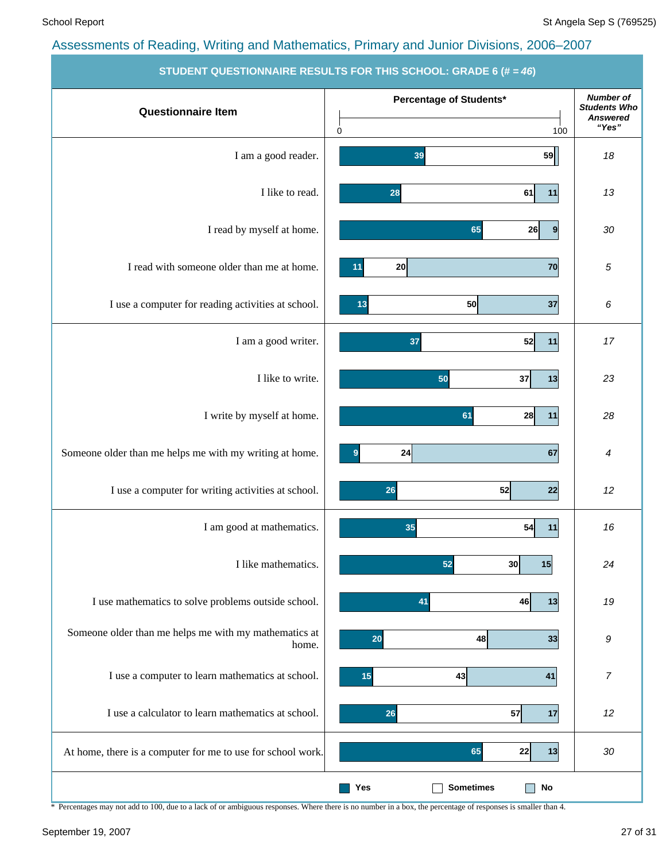|                                                                | <b>STODERT QUESTIONNAINE NESULTS FON THIS SUITOUL. GNADE 0 (# = 40)</b> |                                                                     |
|----------------------------------------------------------------|-------------------------------------------------------------------------|---------------------------------------------------------------------|
| <b>Questionnaire Item</b>                                      | Percentage of Students*<br>0<br>100                                     | <b>Number of</b><br><b>Students Who</b><br><b>Answered</b><br>"Yes" |
| I am a good reader.                                            | 59<br>39                                                                | 18                                                                  |
| I like to read.                                                | 61<br>11<br>28                                                          | 13                                                                  |
| I read by myself at home.                                      | 65<br>26<br>$\overline{9}$                                              | 30                                                                  |
| I read with someone older than me at home.                     | 20<br>70<br>11                                                          | 5                                                                   |
| I use a computer for reading activities at school.             | 50<br>37<br>13                                                          | 6                                                                   |
| I am a good writer.                                            | 52<br>37<br>11                                                          | 17                                                                  |
| I like to write.                                               | 37<br>13<br>50                                                          | 23                                                                  |
| I write by myself at home.                                     | 61<br>11<br>28                                                          | 28                                                                  |
| Someone older than me helps me with my writing at home.        | 67<br>24<br>9                                                           | 4                                                                   |
| I use a computer for writing activities at school.             | 52<br>22<br>26                                                          | 12                                                                  |
| I am good at mathematics.                                      | 35<br>54<br>11                                                          | 16                                                                  |
| I like mathematics.                                            | 52<br>30<br>15                                                          | 24                                                                  |
| I use mathematics to solve problems outside school.            | 41<br>46<br>13                                                          | 19                                                                  |
| Someone older than me helps me with my mathematics at<br>home. | 48<br>33<br>20                                                          | 9                                                                   |
| I use a computer to learn mathematics at school.               | 43<br>41<br>15                                                          | $\overline{7}$                                                      |
| I use a calculator to learn mathematics at school.             | 57<br>17<br>26                                                          | 12                                                                  |
| At home, there is a computer for me to use for school work.    | 22<br>65<br>13                                                          | 30                                                                  |
|                                                                | <b>Sometimes</b><br>Yes<br>No                                           |                                                                     |

**STUDENT QUESTIONNAIRE RESULTS FOR THIS SCHOOL: GRADE** 

\* Percentages may not add to 100, due to a lack of or ambiguous responses. Where there is no number in a box, the percentage of responses is smaller than 4.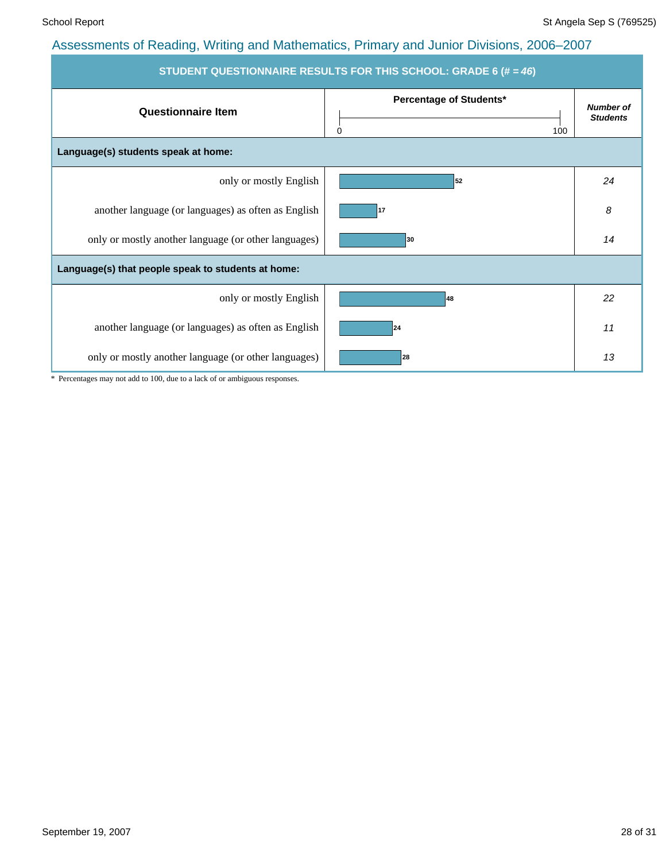| STUDENT QUESTIONNAIRE RESULTS FOR THIS SCHOOL: GRADE 6 (# = 46) |                                     |                                     |  |  |  |
|-----------------------------------------------------------------|-------------------------------------|-------------------------------------|--|--|--|
| <b>Questionnaire Item</b>                                       | Percentage of Students*<br>0<br>100 | <b>Number of</b><br><b>Students</b> |  |  |  |
| Language(s) students speak at home:                             |                                     |                                     |  |  |  |
| only or mostly English                                          | 52                                  | 24                                  |  |  |  |
| another language (or languages) as often as English             | 17                                  | 8                                   |  |  |  |
| only or mostly another language (or other languages)            | 30                                  | 14                                  |  |  |  |
| Language(s) that people speak to students at home:              |                                     |                                     |  |  |  |
| only or mostly English                                          | 48                                  | 22                                  |  |  |  |
| another language (or languages) as often as English             | 24                                  | 11                                  |  |  |  |
| only or mostly another language (or other languages)            | 28                                  | 13                                  |  |  |  |

\* Percentages may not add to 100, due to a lack of or ambiguous responses.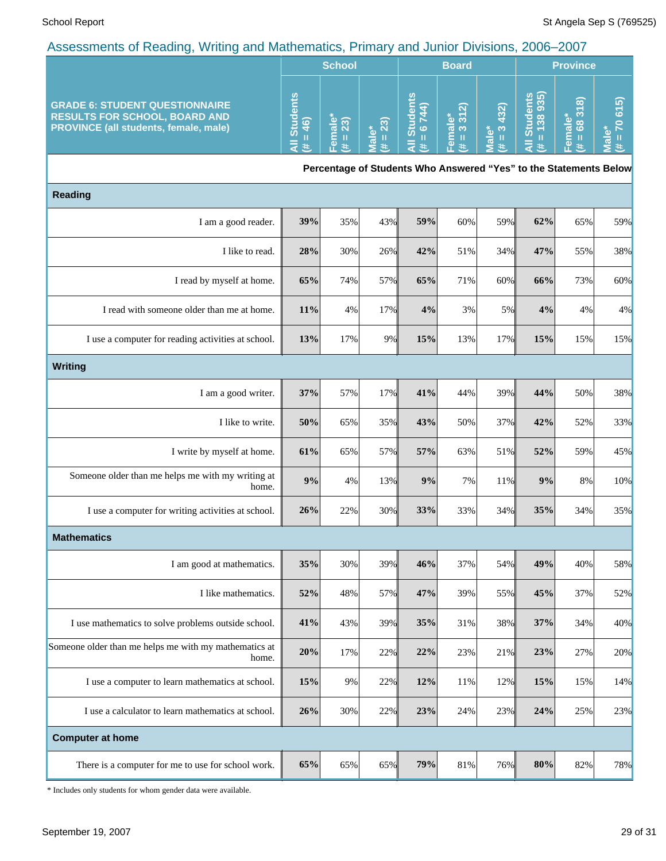|                                                                                                                        | <b>School</b>                        |                        |                      | <b>Board</b>                                                      |                                      |                                      | <b>Province</b>              |                                  |                                                           |
|------------------------------------------------------------------------------------------------------------------------|--------------------------------------|------------------------|----------------------|-------------------------------------------------------------------|--------------------------------------|--------------------------------------|------------------------------|----------------------------------|-----------------------------------------------------------|
| <b>GRADE 6: STUDENT QUESTIONNAIRE</b><br><b>RESULTS FOR SCHOOL, BOARD AND</b><br>PROVINCE (all students, female, male) | <b>Students</b><br>$= 46$<br>₹<br>y. | Female*<br>$= 23$<br>主 | $= 23$<br>Male*<br>共 | <b>All Students</b><br>$= 6744$<br>共                              | $312$<br>Female*<br>$(\sharp = 3.31$ | 432)<br>$\frac{1}{3}$<br>Male*<br>y. | All Students<br>$# = 138935$ | 68318<br>Female*<br>$\,$ II<br>主 | 615<br>$\overline{2}$<br>ΰ٥<br>$\rm H$<br><b>Rai</b><br>共 |
|                                                                                                                        |                                      |                        |                      | Percentage of Students Who Answered "Yes" to the Statements Below |                                      |                                      |                              |                                  |                                                           |
| <b>Reading</b>                                                                                                         |                                      |                        |                      |                                                                   |                                      |                                      |                              |                                  |                                                           |
| I am a good reader.                                                                                                    | 39%                                  | 35%                    | 43%                  | 59%                                                               | 60%                                  | 59%                                  | 62%                          | 65%                              | 59%                                                       |
| I like to read.                                                                                                        | 28%                                  | 30%                    | 26%                  | 42%                                                               | 51%                                  | 34%                                  | 47%                          | 55%                              | 38%                                                       |
| I read by myself at home.                                                                                              | 65%                                  | 74%                    | 57%                  | 65%                                                               | 71%                                  | 60%                                  | 66%                          | 73%                              | 60%                                                       |
| I read with someone older than me at home.                                                                             | 11%                                  | 4%                     | 17%                  | 4%                                                                | 3%                                   | 5%                                   | 4%                           | 4%                               | 4%                                                        |
| I use a computer for reading activities at school.                                                                     | 13%                                  | 17%                    | 9%                   | 15%                                                               | 13%                                  | 17%                                  | 15%                          | 15%                              | 15%                                                       |
| Writing                                                                                                                |                                      |                        |                      |                                                                   |                                      |                                      |                              |                                  |                                                           |
| I am a good writer.                                                                                                    | 37%                                  | 57%                    | 17%                  | 41%                                                               | 44%                                  | 39%                                  | 44%                          | 50%                              | 38%                                                       |
| I like to write.                                                                                                       | 50%                                  | 65%                    | 35%                  | 43%                                                               | 50%                                  | 37%                                  | 42%                          | 52%                              | 33%                                                       |
| I write by myself at home.                                                                                             | 61%                                  | 65%                    | 57%                  | 57%                                                               | 63%                                  | 51%                                  | 52%                          | 59%                              | 45%                                                       |
| Someone older than me helps me with my writing at<br>home.                                                             | 9%                                   | 4%                     | 13%                  | 9%                                                                | 7%                                   | 11%                                  | 9%                           | 8%                               | 10%                                                       |
| I use a computer for writing activities at school.                                                                     | 26%                                  | 22%                    | 30%                  | 33%                                                               | 33%                                  | 34%                                  | 35%                          | 34%                              | 35%                                                       |
| <b>Mathematics</b>                                                                                                     |                                      |                        |                      |                                                                   |                                      |                                      |                              |                                  |                                                           |
| I am good at mathematics.                                                                                              | 35%                                  | 30%                    | 39%                  | 46%                                                               | 37%                                  | 54%                                  | 49%                          | 40%                              | 58%                                                       |
| I like mathematics.                                                                                                    | 52%                                  | 48%                    | 57%                  | 47%                                                               | 39%                                  | 55%                                  | 45%                          | 37%                              | 52%                                                       |
| I use mathematics to solve problems outside school.                                                                    | 41%                                  | 43%                    | 39%                  | 35%                                                               | 31%                                  | 38%                                  | 37%                          | 34%                              | 40%                                                       |
| Someone older than me helps me with my mathematics at<br>home.                                                         | 20%                                  | 17%                    | 22%                  | 22%                                                               | 23%                                  | 21%                                  | 23%                          | 27%                              | 20%                                                       |
| I use a computer to learn mathematics at school.                                                                       | 15%                                  | 9%                     | 22%                  | 12%                                                               | 11%                                  | 12%                                  | 15%                          | 15%                              | 14%                                                       |
| I use a calculator to learn mathematics at school.                                                                     | 26%                                  | 30%                    | 22%                  | 23%                                                               | 24%                                  | 23%                                  | 24%                          | 25%                              | 23%                                                       |
| <b>Computer at home</b>                                                                                                |                                      |                        |                      |                                                                   |                                      |                                      |                              |                                  |                                                           |
| There is a computer for me to use for school work.                                                                     | 65%                                  | 65%                    | 65%                  | 79%                                                               | 81%                                  | 76%                                  | 80%                          | 82%                              | 78%                                                       |

\* Includes only students for whom gender data were available.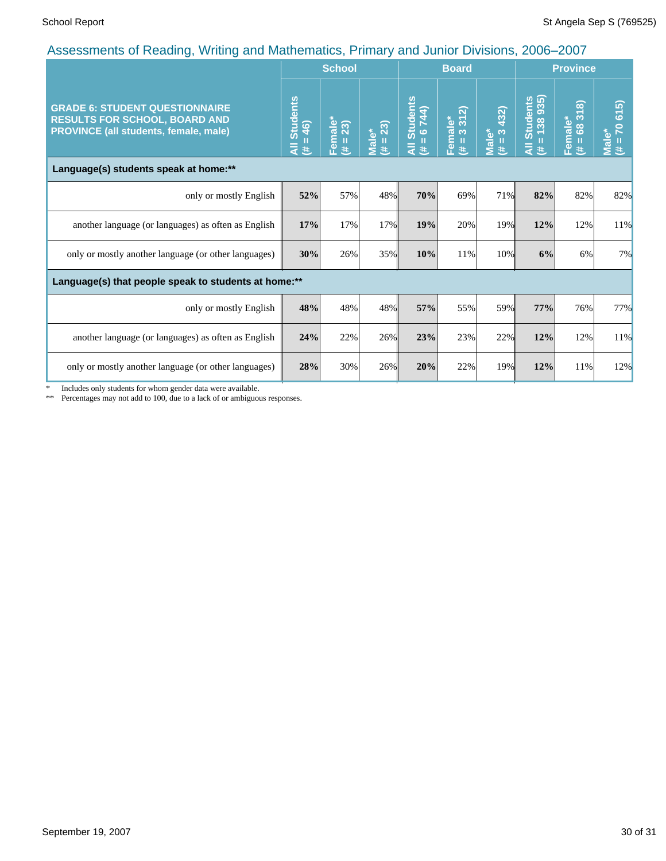|                                                                                                                        |                                             | <b>School</b>                   |                       |                                                  | $3.15$ $3.11$ $3.11$ $3.11$ $3.11$ $3.11$ $3.11$ $3.11$<br><b>Board</b> |                                                |                                               | <b>Province</b>                             |                                   |  |
|------------------------------------------------------------------------------------------------------------------------|---------------------------------------------|---------------------------------|-----------------------|--------------------------------------------------|-------------------------------------------------------------------------|------------------------------------------------|-----------------------------------------------|---------------------------------------------|-----------------------------------|--|
| <b>GRADE 6: STUDENT QUESTIONNAIRE</b><br><b>RESULTS FOR SCHOOL, BOARD AND</b><br>PROVINCE (all students, female, male) | <b>Students</b><br>$= 46$<br>$\bar{a}$<br>进 | Female*<br>$(\texttt{\#} = 23)$ | $({#} = 23)$<br>Male* | <b>Students</b><br>6 744)<br>Ш<br>$\bar{a}$<br>违 | 312<br>Female*<br>$\infty$<br>Ш<br>#                                    | 432)<br>$\infty$<br>Male*<br>$\mathbf{H}$<br>违 | Students<br>= 138 935)<br>Ш<br>$\bar{a}$<br>巷 | 318<br>Female*<br>$\overline{68}$<br>Ш<br>共 | 70 615)<br><b>Male*</b><br>Ш<br>悲 |  |
| Language(s) students speak at home:**                                                                                  |                                             |                                 |                       |                                                  |                                                                         |                                                |                                               |                                             |                                   |  |
| only or mostly English                                                                                                 | 52%                                         | 57%                             | 48%                   | 70%                                              | 69%                                                                     | 71%                                            | 82%                                           | 82%                                         | 82%                               |  |
| another language (or languages) as often as English                                                                    | 17%                                         | 17%                             | 17%                   | 19%                                              | 20%                                                                     | 19%                                            | 12%                                           | 12%                                         | 11%                               |  |
| only or mostly another language (or other languages)                                                                   | 30%                                         | 26%                             | 35%                   | 10%                                              | 11%                                                                     | 10%                                            | 6%                                            | 6%                                          | 7%                                |  |
| Language(s) that people speak to students at home:**                                                                   |                                             |                                 |                       |                                                  |                                                                         |                                                |                                               |                                             |                                   |  |
| only or mostly English                                                                                                 | 48%                                         | 48%                             | 48%                   | 57%                                              | 55%                                                                     | 59%                                            | 77%                                           | 76%                                         | 77%                               |  |
| another language (or languages) as often as English                                                                    | 24%                                         | 22%                             | 26%                   | 23%                                              | 23%                                                                     | 22%                                            | 12%                                           | 12%                                         | 11%                               |  |
| only or mostly another language (or other languages)                                                                   | 28%                                         | 30%                             | 26%                   | 20%                                              | 22%                                                                     | 19%                                            | 12%                                           | 11%                                         | 12%                               |  |

\* Includes only students for whom gender data were available.

\*\* Percentages may not add to 100, due to a lack of or ambiguous responses.